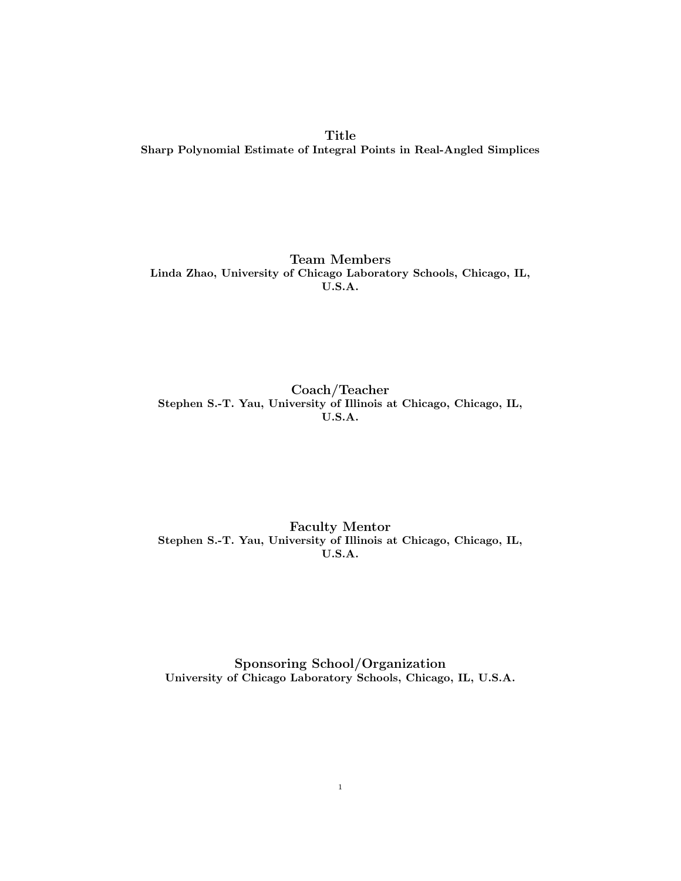Title Sharp Polynomial Estimate of Integral Points in Real-Angled Simplices

Team Members Linda Zhao, University of Chicago Laboratory Schools, Chicago, IL, U.S.A.

Coach/Teacher Stephen S.-T. Yau, University of Illinois at Chicago, Chicago, IL, U.S.A.

Faculty Mentor Stephen S.-T. Yau, University of Illinois at Chicago, Chicago, IL, U.S.A.

Sponsoring School/Organization University of Chicago Laboratory Schools, Chicago, IL, U.S.A.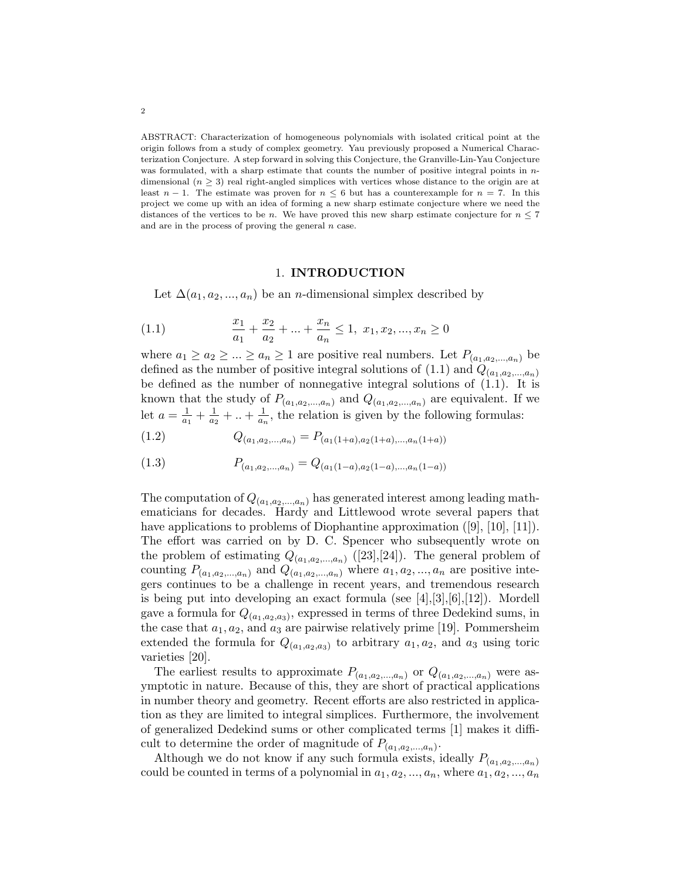ABSTRACT: Characterization of homogeneous polynomials with isolated critical point at the origin follows from a study of complex geometry. Yau previously proposed a Numerical Characterization Conjecture. A step forward in solving this Conjecture, the Granville-Lin-Yau Conjecture was formulated, with a sharp estimate that counts the number of positive integral points in ndimensional  $(n \geq 3)$  real right-angled simplices with vertices whose distance to the origin are at least  $n-1$ . The estimate was proven for  $n \leq 6$  but has a counterexample for  $n = 7$ . In this project we come up with an idea of forming a new sharp estimate conjecture where we need the distances of the vertices to be n. We have proved this new sharp estimate conjecture for  $n \leq 7$ and are in the process of proving the general  $n$  case.

#### 1. INTRODUCTION

Let  $\Delta(a_1, a_2, ..., a_n)$  be an *n*-dimensional simplex described by

(1.1) 
$$
\frac{x_1}{a_1} + \frac{x_2}{a_2} + \dots + \frac{x_n}{a_n} \le 1, \ x_1, x_2, \dots, x_n \ge 0
$$

where  $a_1 \ge a_2 \ge ... \ge a_n \ge 1$  are positive real numbers. Let  $P_{(a_1, a_2,..., a_n)}$  be defined as the number of positive integral solutions of  $(1.1)$  and  $Q_{(a_1,a_2,...,a_n)}$ be defined as the number of nonnegative integral solutions of  $(1.1)$ . It is known that the study of  $P_{(a_1,a_2,...,a_n)}$  and  $Q_{(a_1,a_2,...,a_n)}$  are equivalent. If we let  $a=\frac{1}{a}$  $\frac{1}{a_1} + \frac{1}{a_2}$  $\frac{1}{a_2} + ... + \frac{1}{a_n}$  $\frac{1}{a_n}$ , the relation is given by the following formulas:

$$
(1.2) \tQ_{(a_1,a_2,...,a_n)} = P_{(a_1(1+a),a_2(1+a),...,a_n(1+a))}
$$

$$
(1.3) \t P_{(a_1,a_2,...,a_n)} = Q_{(a_1(1-a),a_2(1-a),...,a_n(1-a))}
$$

The computation of  $Q_{(a_1,a_2,...,a_n)}$  has generated interest among leading mathematicians for decades. Hardy and Littlewood wrote several papers that have applications to problems of Diophantine approximation ([9], [10], [11]). The effort was carried on by D. C. Spencer who subsequently wrote on the problem of estimating  $Q_{(a_1,a_2,...,a_n)}$  ([23],[24]). The general problem of counting  $P_{(a_1,a_2,...,a_n)}$  and  $Q_{(a_1,a_2,...,a_n)}$  where  $a_1, a_2,..., a_n$  are positive integers continues to be a challenge in recent years, and tremendous research is being put into developing an exact formula (see  $[4], [3], [6], [12]$ ). Mordell gave a formula for  $Q_{(a_1,a_2,a_3)}$ , expressed in terms of three Dedekind sums, in the case that  $a_1, a_2$ , and  $a_3$  are pairwise relatively prime [19]. Pommersheim extended the formula for  $Q_{(a_1,a_2,a_3)}$  to arbitrary  $a_1, a_2$ , and  $a_3$  using toric varieties [20].

The earliest results to approximate  $P_{(a_1,a_2,...,a_n)}$  or  $Q_{(a_1,a_2,...,a_n)}$  were asymptotic in nature. Because of this, they are short of practical applications in number theory and geometry. Recent efforts are also restricted in application as they are limited to integral simplices. Furthermore, the involvement of generalized Dedekind sums or other complicated terms [1] makes it difficult to determine the order of magnitude of  $P_{(a_1, a_2, \ldots, a_n)}$ .

Although we do not know if any such formula exists, ideally  $P_{(a_1,a_2,...,a_n)}$ could be counted in terms of a polynomial in  $a_1, a_2, ..., a_n$ , where  $a_1, a_2, ..., a_n$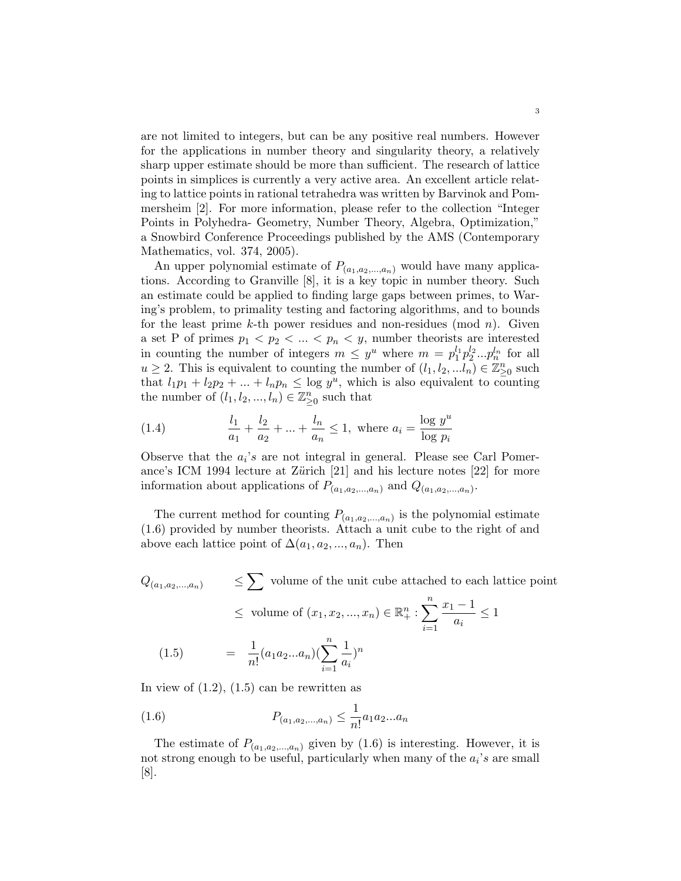are not limited to integers, but can be any positive real numbers. However for the applications in number theory and singularity theory, a relatively sharp upper estimate should be more than sufficient. The research of lattice points in simplices is currently a very active area. An excellent article relating to lattice points in rational tetrahedra was written by Barvinok and Pommersheim [2]. For more information, please refer to the collection "Integer Points in Polyhedra- Geometry, Number Theory, Algebra, Optimization," a Snowbird Conference Proceedings published by the AMS (Contemporary Mathematics, vol. 374, 2005).

An upper polynomial estimate of  $P_{(a_1,a_2,...,a_n)}$  would have many applications. According to Granville [8], it is a key topic in number theory. Such an estimate could be applied to finding large gaps between primes, to Waring's problem, to primality testing and factoring algorithms, and to bounds for the least prime  $k$ -th power residues and non-residues (mod  $n$ ). Given a set P of primes  $p_1 < p_2 < ... < p_n < y$ , number theorists are interested in counting the number of integers  $m \leq y^u$  where  $m = p_1^{l_1} p_2^{l_2} ... p_n^{l_n}$  for all  $u \geq 2$ . This is equivalent to counting the number of  $(l_1, l_2, ... l_n) \in \mathbb{Z}_{\geq 0}^n$  such that  $l_1p_1 + l_2p_2 + ... + l_np_n \leq \log y^u$ , which is also equivalent to counting the number of  $(l_1, l_2, ..., l_n) \in \mathbb{Z}_{\geq 0}^n$  such that

(1.4) 
$$
\frac{l_1}{a_1} + \frac{l_2}{a_2} + \dots + \frac{l_n}{a_n} \le 1, \text{ where } a_i = \frac{\log y^u}{\log p_i}
$$

Observe that the  $a_i$ 's are not integral in general. Please see Carl Pomerance's ICM 1994 lecture at Zürich  $[21]$  and his lecture notes  $[22]$  for more information about applications of  $P_{(a_1,a_2,...,a_n)}$  and  $Q_{(a_1,a_2,...,a_n)}$ .

The current method for counting  $P_{(a_1,a_2,...,a_n)}$  is the polynomial estimate (1.6) provided by number theorists. Attach a unit cube to the right of and above each lattice point of  $\Delta(a_1, a_2, ..., a_n)$ . Then

$$
Q_{(a_1, a_2, \dots, a_n)} \leq \sum \text{ volume of the unit cube attached to each lattice point}
$$
  
\n
$$
\leq \text{ volume of } (x_1, x_2, \dots, x_n) \in \mathbb{R}_+^n : \sum_{i=1}^n \frac{x_1 - 1}{a_i} \leq 1
$$
  
\n(1.5) 
$$
= \frac{1}{n!} (a_1 a_2 \dots a_n) (\sum_{i=1}^n \frac{1}{a_i})^n
$$

In view of  $(1.2)$ ,  $(1.5)$  can be rewritten as

(1.6) 
$$
P_{(a_1, a_2, \ldots, a_n)} \leq \frac{1}{n!} a_1 a_2 \ldots a_n
$$

The estimate of  $P_{(a_1,a_2,...,a_n)}$  given by  $(1.6)$  is interesting. However, it is not strong enough to be useful, particularly when many of the  $a_i$ 's are small [8].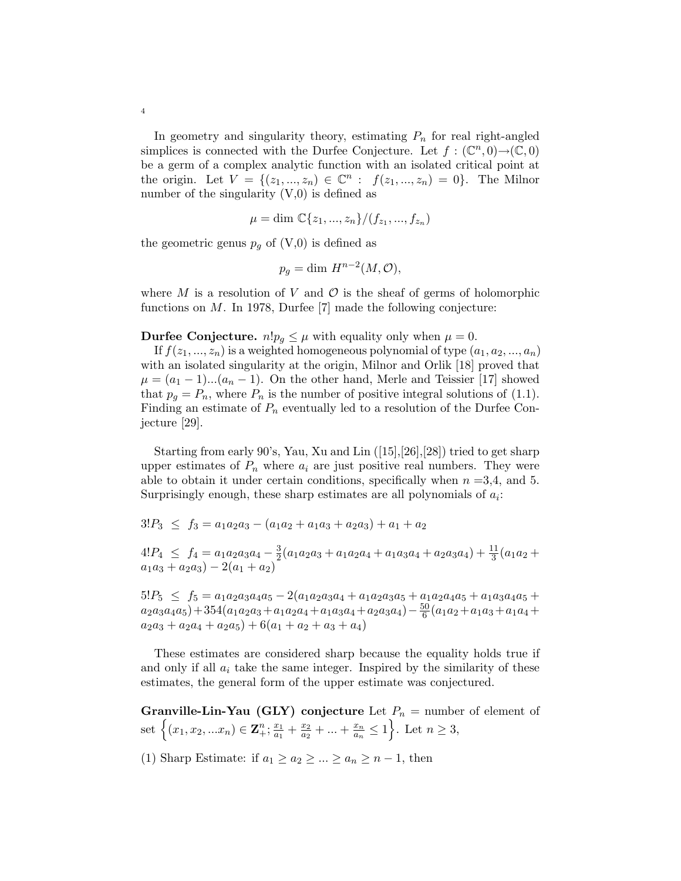In geometry and singularity theory, estimating  $P_n$  for real right-angled simplices is connected with the Durfee Conjecture. Let  $f: (\mathbb{C}^n, 0) \to (\mathbb{C}, 0)$ be a germ of a complex analytic function with an isolated critical point at the origin. Let  $V = \{(z_1, ..., z_n) \in \mathbb{C}^n : f(z_1, ..., z_n) = 0\}$ . The Milnor number of the singularity  $(V,0)$  is defined as

$$
\mu = \dim \mathbb{C}\{z_1, ..., z_n\}/(f_{z_1}, ..., f_{z_n})
$$

the geometric genus  $p_g$  of  $(V,0)$  is defined as

$$
p_g = \dim H^{n-2}(M, \mathcal{O}),
$$

where M is a resolution of V and  $\mathcal O$  is the sheaf of germs of holomorphic functions on M. In 1978, Durfee [7] made the following conjecture:

**Durfee Conjecture.**  $n!p_g \leq \mu$  with equality only when  $\mu = 0$ .

If  $f(z_1, ..., z_n)$  is a weighted homogeneous polynomial of type  $(a_1, a_2, ..., a_n)$ with an isolated singularity at the origin, Milnor and Orlik [18] proved that  $\mu = (a_1 - 1)...(a_n - 1)$ . On the other hand, Merle and Teissier [17] showed that  $p_q = P_n$ , where  $P_n$  is the number of positive integral solutions of (1.1). Finding an estimate of  $P_n$  eventually led to a resolution of the Durfee Conjecture [29].

Starting from early 90's, Yau, Xu and Lin ([15],[26],[28]) tried to get sharp upper estimates of  $P_n$  where  $a_i$  are just positive real numbers. They were able to obtain it under certain conditions, specifically when  $n = 3, 4$ , and 5. Surprisingly enough, these sharp estimates are all polynomials of  $a_i$ :

$$
3!P_3 \le f_3 = a_1a_2a_3 - (a_1a_2 + a_1a_3 + a_2a_3) + a_1 + a_2
$$

 $4!P_4 \leq f_4 = a_1a_2a_3a_4 - \frac{3}{2}$  $\frac{3}{2}(a_1a_2a_3 + a_1a_2a_4 + a_1a_3a_4 + a_2a_3a_4) + \frac{11}{3}(a_1a_2 +$  $a_1a_3 + a_2a_3 - 2(a_1 + a_2)$ 

 $5!P_5 \n\leq f_5 = a_1a_2a_3a_4a_5 - 2(a_1a_2a_3a_4 + a_1a_2a_3a_5 + a_1a_2a_4a_5 + a_1a_3a_4a_5 +$  $a_2a_3a_4a_5)+354(a_1a_2a_3+a_1a_2a_4+a_1a_3a_4+a_2a_3a_4)-\frac{50}{6}$  $\frac{60}{6}(a_1a_2+a_1a_3+a_1a_4+$  $a_2a_3 + a_2a_4 + a_2a_5) + 6(a_1 + a_2 + a_3 + a_4)$ 

These estimates are considered sharp because the equality holds true if and only if all  $a_i$  take the same integer. Inspired by the similarity of these estimates, the general form of the upper estimate was conjectured.

Granville-Lin-Yau (GLY) conjecture Let  $P_n =$  number of element of set  $\left\{ (x_1, x_2, ... x_n) \in \mathbb{Z}_+^n; \frac{x_1}{a_1} \right\}$  $\frac{x_1}{a_1} + \frac{x_2}{a_2}$  $\frac{x_2}{a_2} + ... + \frac{x_n}{a_n}$  $\frac{x_n}{a_n} \leq 1$ . Let  $n \geq 3$ ,

(1) Sharp Estimate: if  $a_1 \ge a_2 \ge ... \ge a_n \ge n-1$ , then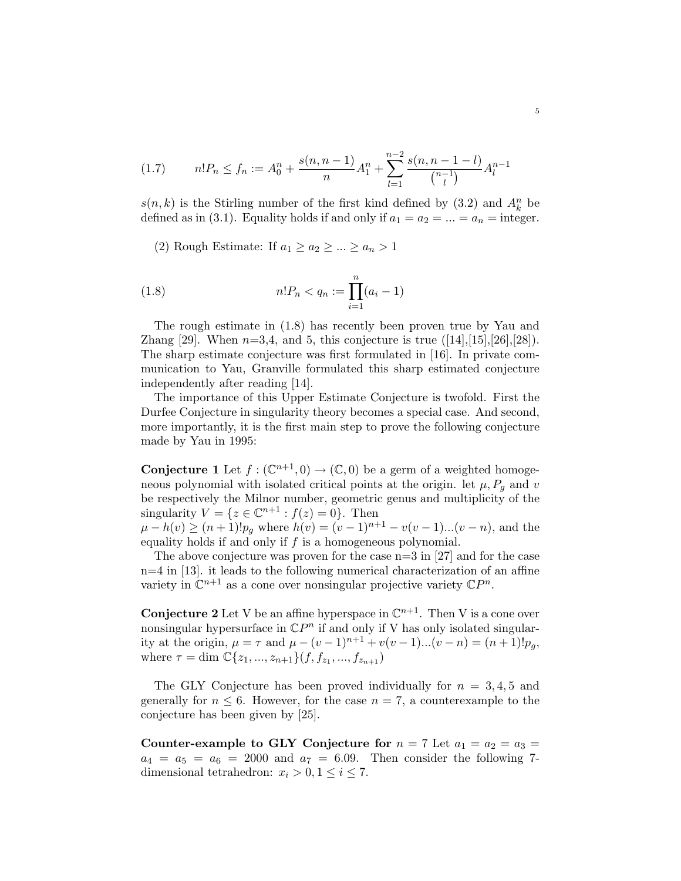$$
(1.7) \qquad n!P_n \le f_n := A_0^n + \frac{s(n, n-1)}{n} A_1^n + \sum_{l=1}^{n-2} \frac{s(n, n-1-l)}{\binom{n-1}{l}} A_l^{n-1}
$$

 $s(n, k)$  is the Stirling number of the first kind defined by  $(3.2)$  and  $A_k^n$  be defined as in (3.1). Equality holds if and only if  $a_1 = a_2 = ... = a_n =$  integer.

(2) Rough Estimate: If  $a_1 \ge a_2 \ge ... \ge a_n > 1$ 

(1.8) 
$$
n!P_n < q_n := \prod_{i=1}^n (a_i - 1)
$$

The rough estimate in (1.8) has recently been proven true by Yau and Zhang [29]. When  $n=3,4$ , and 5, this conjecture is true  $(14,15,126,128)$ . The sharp estimate conjecture was first formulated in [16]. In private communication to Yau, Granville formulated this sharp estimated conjecture independently after reading [14].

The importance of this Upper Estimate Conjecture is twofold. First the Durfee Conjecture in singularity theory becomes a special case. And second, more importantly, it is the first main step to prove the following conjecture made by Yau in 1995:

**Conjecture 1** Let  $f : (\mathbb{C}^{n+1}, 0) \to (\mathbb{C}, 0)$  be a germ of a weighted homogeneous polynomial with isolated critical points at the origin. let  $\mu$ ,  $P<sub>g</sub>$  and v be respectively the Milnor number, geometric genus and multiplicity of the singularity  $V = \{ z \in \mathbb{C}^{n+1} : f(z) = 0 \}.$  Then

 $\mu - h(v) \ge (n+1)! p_g$  where  $h(v) = (v-1)^{n+1} - v(v-1)...(v-n)$ , and the equality holds if and only if  $f$  is a homogeneous polynomial.

The above conjecture was proven for the case  $n=3$  in [27] and for the case n=4 in [13]. it leads to the following numerical characterization of an affine variety in  $\mathbb{C}^{n+1}$  as a cone over nonsingular projective variety  $\mathbb{C}P^n$ .

**Conjecture 2** Let V be an affine hyperspace in  $\mathbb{C}^{n+1}$ . Then V is a cone over nonsingular hypersurface in  $\mathbb{C}P^n$  if and only if V has only isolated singularity at the origin,  $\mu = \tau$  and  $\mu - (v - 1)^{n+1} + v(v - 1)...(v - n) = (n + 1)!p_q$ , where  $\tau = \dim \mathbb{C} \{z_1, ..., z_{n+1}\}(f, f_{z_1}, ..., f_{z_{n+1}})$ 

The GLY Conjecture has been proved individually for  $n = 3, 4, 5$  and generally for  $n \leq 6$ . However, for the case  $n = 7$ , a counterexample to the conjecture has been given by [25].

Counter-example to GLY Conjecture for  $n = 7$  Let  $a_1 = a_2 = a_3 =$  $a_4 = a_5 = a_6 = 2000$  and  $a_7 = 6.09$ . Then consider the following 7dimensional tetrahedron:  $x_i > 0, 1 \leq i \leq 7$ .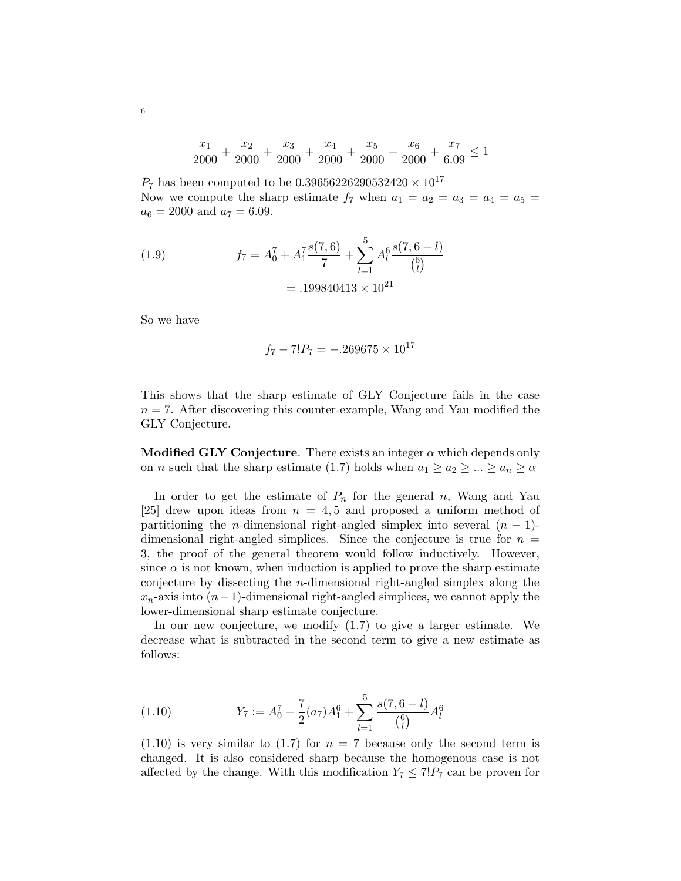$$
\frac{x_1}{2000} + \frac{x_2}{2000} + \frac{x_3}{2000} + \frac{x_4}{2000} + \frac{x_5}{2000} + \frac{x_6}{2000} + \frac{x_7}{6.09} \le 1
$$

 $P_7$  has been computed to be 0.39656226290532420  $\times 10^{17}$ Now we compute the sharp estimate  $f_7$  when  $a_1 = a_2 = a_3 = a_4 = a_5 =$  $a_6 = 2000$  and  $a_7 = 6.09$ .

(1.9) 
$$
f_7 = A_0^7 + A_1^7 \frac{s(7,6)}{7} + \sum_{l=1}^5 A_l^6 \frac{s(7,6-l)}{\binom{6}{l}}
$$

$$
= .199840413 \times 10^{21}
$$

So we have

$$
f_7 - 7!P_7 = -.269675 \times 10^{17}
$$

This shows that the sharp estimate of GLY Conjecture fails in the case  $n = 7$ . After discovering this counter-example, Wang and Yau modified the GLY Conjecture.

Modified GLY Conjecture. There exists an integer  $\alpha$  which depends only on *n* such that the sharp estimate (1.7) holds when  $a_1 \ge a_2 \ge ... \ge a_n \ge \alpha$ 

In order to get the estimate of  $P_n$  for the general n, Wang and Yau [25] drew upon ideas from  $n = 4, 5$  and proposed a uniform method of partitioning the *n*-dimensional right-angled simplex into several  $(n - 1)$ dimensional right-angled simplices. Since the conjecture is true for  $n =$ 3, the proof of the general theorem would follow inductively. However, since  $\alpha$  is not known, when induction is applied to prove the sharp estimate conjecture by dissecting the n-dimensional right-angled simplex along the  $x_n$ -axis into  $(n-1)$ -dimensional right-angled simplices, we cannot apply the lower-dimensional sharp estimate conjecture.

In our new conjecture, we modify (1.7) to give a larger estimate. We decrease what is subtracted in the second term to give a new estimate as follows:

(1.10) 
$$
Y_7 := A_0^7 - \frac{7}{2}(a_7)A_1^6 + \sum_{l=1}^5 \frac{s(7,6-l)}{\binom{6}{l}}A_l^6
$$

 $(1.10)$  is very similar to  $(1.7)$  for  $n = 7$  because only the second term is changed. It is also considered sharp because the homogenous case is not affected by the change. With this modification  $Y_7 \leq 7!P_7$  can be proven for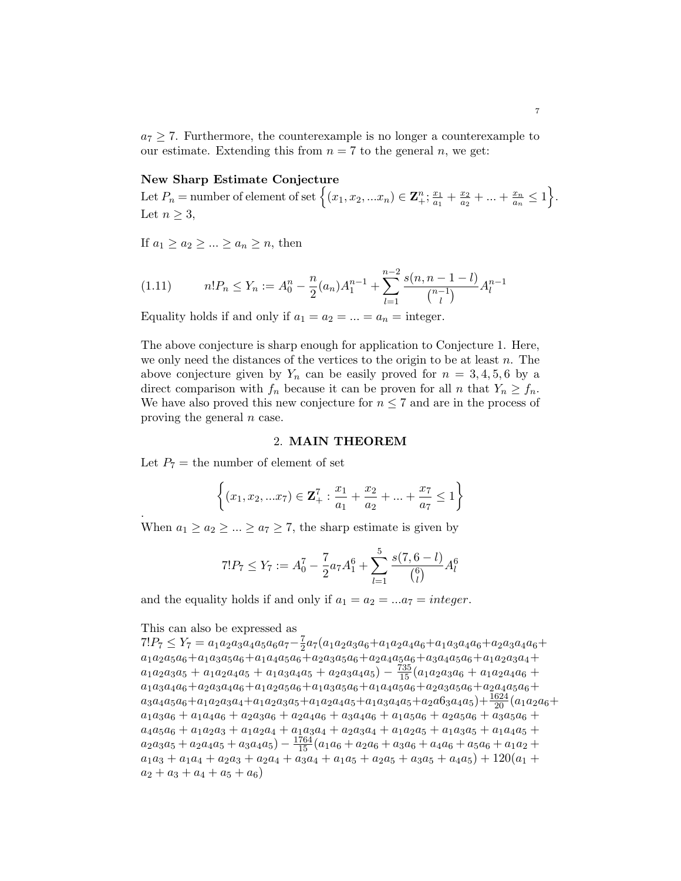$a_7 > 7$ . Furthermore, the counterexample is no longer a counterexample to our estimate. Extending this from  $n = 7$  to the general n, we get:

#### New Sharp Estimate Conjecture

Let  $P_n = \text{number of element of set } \left\{ (x_1, x_2, ... x_n) \in \mathbb{Z}_+^n; \frac{x_1}{a_1} \right\}$  $\frac{x_1}{a_1} + \frac{x_2}{a_2}$  $\frac{x_2}{a_2} + ... + \frac{x_n}{a_n}$  $\frac{x_n}{a_n} \leq 1$ . Let  $n \geq 3$ ,

If  $a_1 > a_2 > ... > a_n > n$ , then

$$
(1.11) \t n!P_n \le Y_n := A_0^n - \frac{n}{2}(a_n)A_1^{n-1} + \sum_{l=1}^{n-2} \frac{s(n, n-1-l)}{\binom{n-1}{l}} A_l^{n-1}
$$

Equality holds if and only if  $a_1 = a_2 = ... = a_n =$  integer.

The above conjecture is sharp enough for application to Conjecture 1. Here, we only need the distances of the vertices to the origin to be at least  $n$ . The above conjecture given by  $Y_n$  can be easily proved for  $n = 3, 4, 5, 6$  by a direct comparison with  $f_n$  because it can be proven for all n that  $Y_n \ge f_n$ . We have also proved this new conjecture for  $n \leq 7$  and are in the process of proving the general n case.

#### 2. MAIN THEOREM

Let  $P_7$  = the number of element of set

$$
\left\{ (x_1, x_2, ... x_7) \in \mathbf{Z}_+^7 : \frac{x_1}{a_1} + \frac{x_2}{a_2} + ... + \frac{x_7}{a_7} \le 1 \right\}
$$

When  $a_1 \ge a_2 \ge ... \ge a_7 \ge 7$ , the sharp estimate is given by

$$
7!P_7 \le Y_7 := A_0^7 - \frac{7}{2}a_7A_1^6 + \sum_{l=1}^5 \frac{s(7, 6-l)}{\binom{6}{l}}A_l^6
$$

and the equality holds if and only if  $a_1 = a_2 = ... a_7 = integer$ .

### This can also be expressed as

.

 $7!P_7 \leq Y_7 = a_1a_2a_3a_4a_5a_6a_7 - \frac{7}{2}$  $\frac{7}{2}a_7(a_1a_2a_3a_6+a_1a_2a_4a_6+a_1a_3a_4a_6+a_2a_3a_4a_6+a_4a_5)$  $a_1a_2a_5a_6+a_1a_3a_5a_6+a_1a_4a_5a_6+a_2a_3a_5a_6+a_2a_4a_5a_6+a_3a_4a_5a_6+a_1a_2a_3a_4+$  $a_1a_2a_3a_5 + a_1a_2a_4a_5 + a_1a_3a_4a_5 + a_2a_3a_4a_5 - \frac{735}{15}(a_1a_2a_3a_6 + a_1a_2a_4a_6 +$  $a_1a_3a_4a_6+a_2a_3a_4a_6+a_1a_2a_5a_6+a_1a_3a_5a_6+a_1a_4a_5a_6+a_2a_3a_5a_6+a_2a_4a_5a_6+\$  $a_3a_4a_5a_6+a_1a_2a_3a_4+a_1a_2a_3a_5+a_1a_2a_4a_5+a_1a_3a_4a_5+a_2a6_3a_4a_5)+\frac{1624}{20}(a_1a_2a_6+a_1a_3a_4a_5+a_1a_3a_4a_5)$  $a_1a_3a_6 + a_1a_4a_6 + a_2a_3a_6 + a_2a_4a_6 + a_3a_4a_6 + a_1a_5a_6 + a_2a_5a_6 + a_3a_5a_6 +$  $a_4a_5a_6 + a_1a_2a_3 + a_1a_2a_4 + a_1a_3a_4 + a_2a_3a_4 + a_1a_2a_5 + a_1a_3a_5 + a_1a_4a_5 +$  $a_2a_3a_5 + a_2a_4a_5 + a_3a_4a_5) - \frac{1764}{15}(a_1a_6 + a_2a_6 + a_3a_6 + a_4a_6 + a_5a_6 + a_1a_2 +$  $a_1a_3 + a_1a_4 + a_2a_3 + a_2a_4 + a_3a_4 + a_1a_5 + a_2a_5 + a_3a_5 + a_4a_5$  + 120(a<sub>1</sub> +  $a_2 + a_3 + a_4 + a_5 + a_6$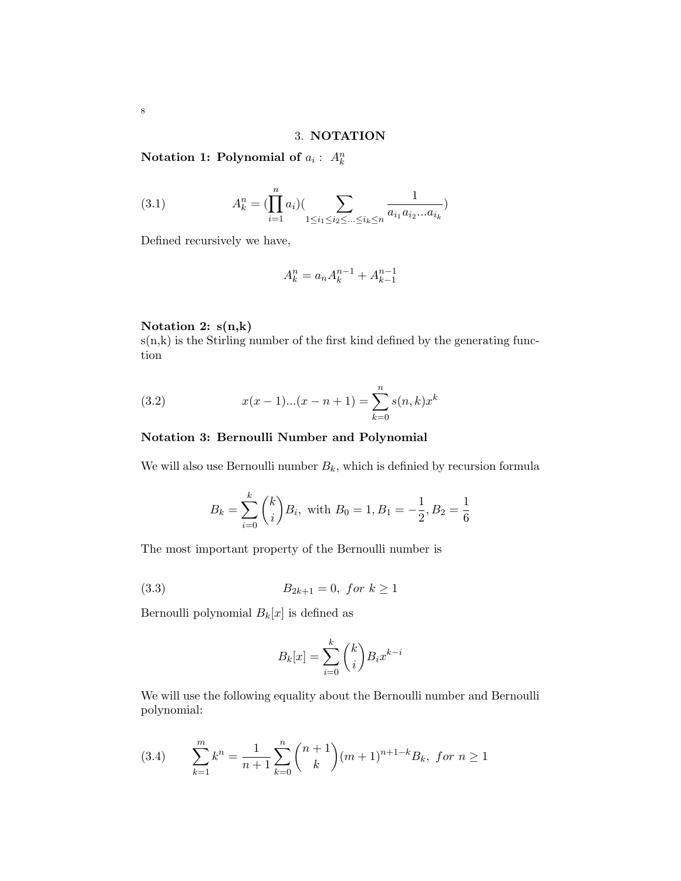## 3. NOTATION

Notation 1: Polynomial of  $a_i: A_k^n$ 

(3.1) 
$$
A_k^n = (\prod_{i=1}^n a_i) (\sum_{1 \le i_1 \le i_2 \le \dots \le i_k \le n} \frac{1}{a_{i_1} a_{i_2} \dots a_{i_k}})
$$

Defined recursively we have,

$$
A_k^n = a_n A_k^{n-1} + A_{k-1}^{n-1}
$$

Notation 2: s(n,k)

 $s(n,k)$  is the Stirling number of the first kind defined by the generating function

(3.2) 
$$
x(x-1)...(x-n+1) = \sum_{k=0}^{n} s(n,k)x^{k}
$$

## Notation 3: Bernoulli Number and Polynomial

We will also use Bernoulli number  $B_k$ , which is definied by recursion formula

$$
B_k = \sum_{i=0}^k {k \choose i} B_i
$$
, with  $B_0 = 1, B_1 = -\frac{1}{2}, B_2 = \frac{1}{6}$ 

The most important property of the Bernoulli number is

(3.3) 
$$
B_{2k+1} = 0, \text{ for } k \ge 1
$$

Bernoulli polynomial  $B_k[x]$  is defined as

$$
B_k[x] = \sum_{i=0}^k {k \choose i} B_i x^{k-i}
$$

We will use the following equality about the Bernoulli number and Bernoulli polynomial:

(3.4) 
$$
\sum_{k=1}^{m} k^{n} = \frac{1}{n+1} \sum_{k=0}^{n} {n+1 \choose k} (m+1)^{n+1-k} B_{k}, \text{ for } n \ge 1
$$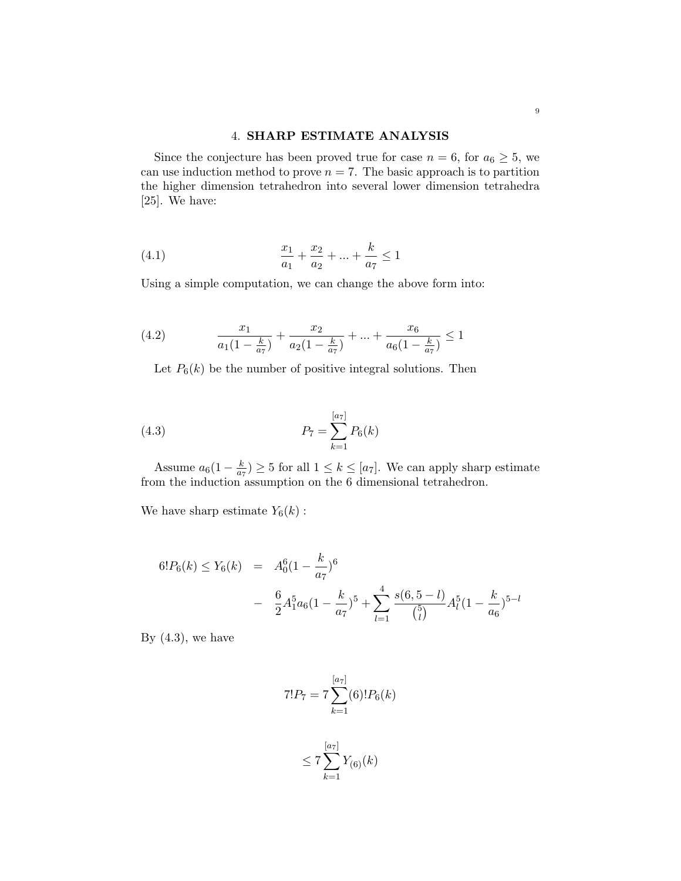## 4. SHARP ESTIMATE ANALYSIS

Since the conjecture has been proved true for case  $n = 6$ , for  $a_6 \geq 5$ , we can use induction method to prove  $n = 7$ . The basic approach is to partition the higher dimension tetrahedron into several lower dimension tetrahedra [25]. We have:

(4.1) 
$$
\frac{x_1}{a_1} + \frac{x_2}{a_2} + \dots + \frac{k}{a_7} \le 1
$$

Using a simple computation, we can change the above form into:

(4.2) 
$$
\frac{x_1}{a_1(1-\frac{k}{a_7})} + \frac{x_2}{a_2(1-\frac{k}{a_7})} + \dots + \frac{x_6}{a_6(1-\frac{k}{a_7})} \le 1
$$

Let  $P_6(k)$  be the number of positive integral solutions. Then

(4.3) 
$$
P_7 = \sum_{k=1}^{[a_7]} P_6(k)
$$

Assume  $a_6(1-\frac{k}{a_5})$  $\frac{k}{a_7}$   $\geq$  5 for all  $1 \leq k \leq [a_7]$ . We can apply sharp estimate from the induction assumption on the 6 dimensional tetrahedron.

We have sharp estimate  $Y_6(k)$ :

$$
6!P_6(k) \le Y_6(k) = A_0^6 \left(1 - \frac{k}{a_7}\right)^6
$$
  
- 
$$
\frac{6}{2}A_1^5 a_6 \left(1 - \frac{k}{a_7}\right)^5 + \sum_{l=1}^4 \frac{s(6, 5 - l)}{\binom{5}{l}} A_l^5 \left(1 - \frac{k}{a_6}\right)^{5-l}
$$

By  $(4.3)$ , we have

$$
7!P_7 = 7 \sum_{k=1}^{[a_7]}(6)! P_6(k)
$$

$$
\frac{[a_7]}{[a_7]}
$$

$$
\leq 7\sum_{k=1}^{N-1}Y_{(6)}(k)
$$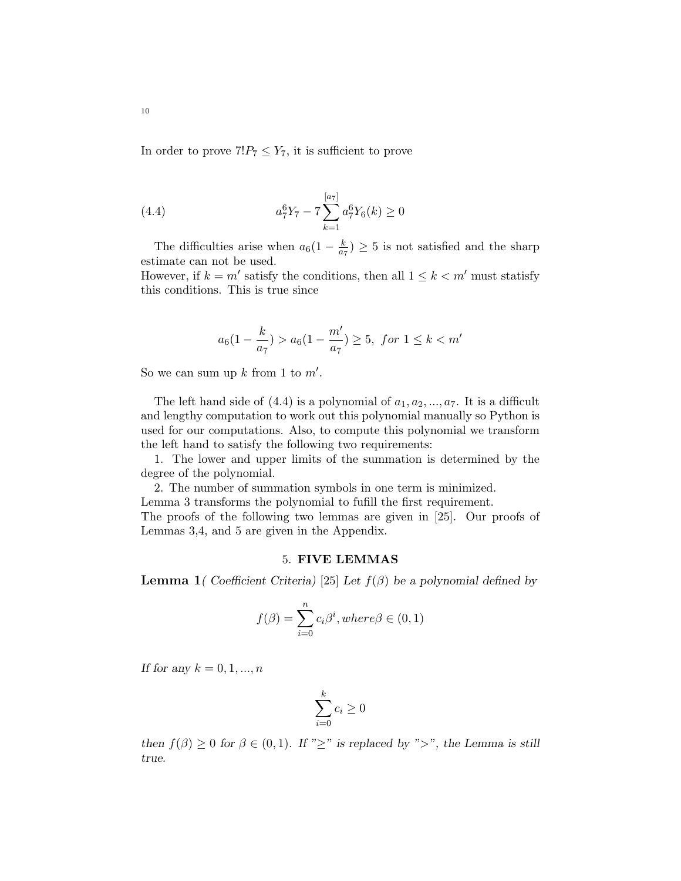In order to prove  $7!P_7 \leq Y_7$ , it is sufficient to prove

(4.4) 
$$
a_7^6 Y_7 - 7 \sum_{k=1}^{[a7]} a_7^6 Y_6(k) \ge 0
$$

The difficulties arise when  $a_6(1-\frac{k}{a_5})$  $\frac{k}{a_7}$   $\geq$  5 is not satisfied and the sharp estimate can not be used.

However, if  $k = m'$  satisfy the conditions, then all  $1 \leq k < m'$  must statisfy this conditions. This is true since

$$
a_6(1-\frac{k}{a_7}) > a_6(1-\frac{m'}{a_7}) \ge 5
$$
, for  $1 \le k < m'$ 

So we can sum up  $k$  from 1 to  $m'$ .

The left hand side of  $(4.4)$  is a polynomial of  $a_1, a_2, ..., a_7$ . It is a difficult and lengthy computation to work out this polynomial manually so Python is used for our computations. Also, to compute this polynomial we transform the left hand to satisfy the following two requirements:

1. The lower and upper limits of the summation is determined by the degree of the polynomial.

2. The number of summation symbols in one term is minimized.

Lemma 3 transforms the polynomial to fufill the first requirement.

The proofs of the following two lemmas are given in [25]. Our proofs of Lemmas 3,4, and 5 are given in the Appendix.

## 5. FIVE LEMMAS

**Lemma 1** ( Coefficient Criteria) [25] Let  $f(\beta)$  be a polynomial defined by

$$
f(\beta) = \sum_{i=0}^{n} c_i \beta^i, where \beta \in (0, 1)
$$

If for any  $k = 0, 1, ..., n$ 

$$
\sum_{i=0}^{k} c_i \ge 0
$$

then  $f(\beta) \geq 0$  for  $\beta \in (0,1)$ . If " $\geq$ " is replaced by " $>$ ", the Lemma is still true.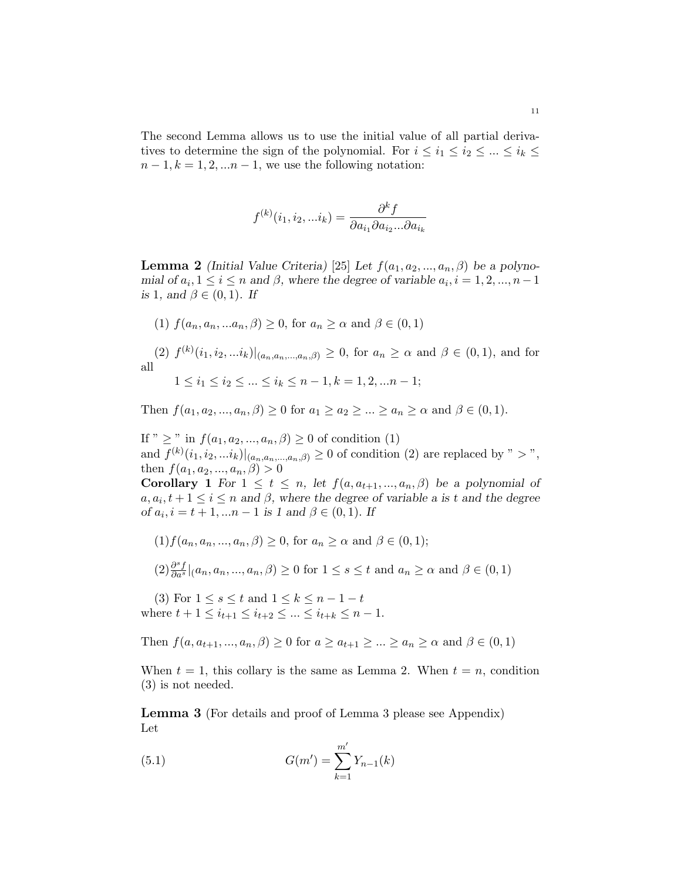The second Lemma allows us to use the initial value of all partial derivatives to determine the sign of the polynomial. For  $i \leq i_1 \leq i_2 \leq ... \leq i_k \leq j$  $n-1, k = 1, 2, \ldots n-1$ , we use the following notation:

$$
f^{(k)}(i_1, i_2, \ldots i_k) = \frac{\partial^k f}{\partial a_{i_1} \partial a_{i_2} \ldots \partial a_{i_k}}
$$

**Lemma 2** (Initial Value Criteria) [25] Let  $f(a_1, a_2, ..., a_n, \beta)$  be a polynomial of  $a_i, 1 \le i \le n$  and  $\beta$ , where the degree of variable  $a_i, i = 1, 2, ..., n-1$ is 1, and  $\beta \in (0,1)$ . If

(1)  $f(a_n, a_n, \ldots, a_n, \beta) \geq 0$ , for  $a_n \geq \alpha$  and  $\beta \in (0, 1)$ 

(2)  $f^{(k)}(i_1, i_2, ... i_k)|_{(a_n, a_n, ..., a_n, \beta)} \geq 0$ , for  $a_n \geq \alpha$  and  $\beta \in (0, 1)$ , and for all

 $1 \leq i_1 \leq i_2 \leq \ldots \leq i_k \leq n-1, k = 1, 2, \ldots n-1;$ 

Then  $f(a_1, a_2, ..., a_n, \beta) \ge 0$  for  $a_1 \ge a_2 \ge ... \ge a_n \ge \alpha$  and  $\beta \in (0, 1)$ .

If "  $\geq$  " in  $f(a_1, a_2, ..., a_n, \beta) \geq 0$  of condition (1) and  $f^{(k)}(i_1, i_2, \ldots i_k)|_{(a_n, a_n, \ldots, a_n, \beta)} \geq 0$  of condition (2) are replaced by " > ", then  $f(a_1, a_2, ..., a_n, \beta) > 0$ 

Corollary 1 For  $1 \le t \le n$ , let  $f(a, a_{t+1}, ..., a_n, \beta)$  be a polynomial of  $a, a_i, t+1 \leq i \leq n$  and  $\beta$ , where the degree of variable a is t and the degree of  $a_i$ ,  $i = t + 1, ...n - 1$  is 1 and  $\beta \in (0, 1)$ . If

 $(1) f(a_n, a_n, ..., a_n, \beta) \geq 0$ , for  $a_n \geq \alpha$  and  $\beta \in (0, 1)$ ;

$$
(2)\frac{\partial^s f}{\partial a^s}|_{(a_n, a_n, \ldots, a_n, \beta) \ge 0 \text{ for } 1 \le s \le t \text{ and } a_n \ge \alpha \text{ and } \beta \in (0,1)
$$

(3) For  $1 \le s \le t$  and  $1 \le k \le n - 1 - t$ where  $t + 1 \leq i_{t+1} \leq i_{t+2} \leq ... \leq i_{t+k} \leq n-1$ .

Then  $f(a, a_{t+1}, ..., a_n, \beta) \geq 0$  for  $a \geq a_{t+1} \geq ... \geq a_n \geq \alpha$  and  $\beta \in (0, 1)$ 

When  $t = 1$ , this collary is the same as Lemma 2. When  $t = n$ , condition (3) is not needed.

Lemma 3 (For details and proof of Lemma 3 please see Appendix) Let

(5.1) 
$$
G(m') = \sum_{k=1}^{m'} Y_{n-1}(k)
$$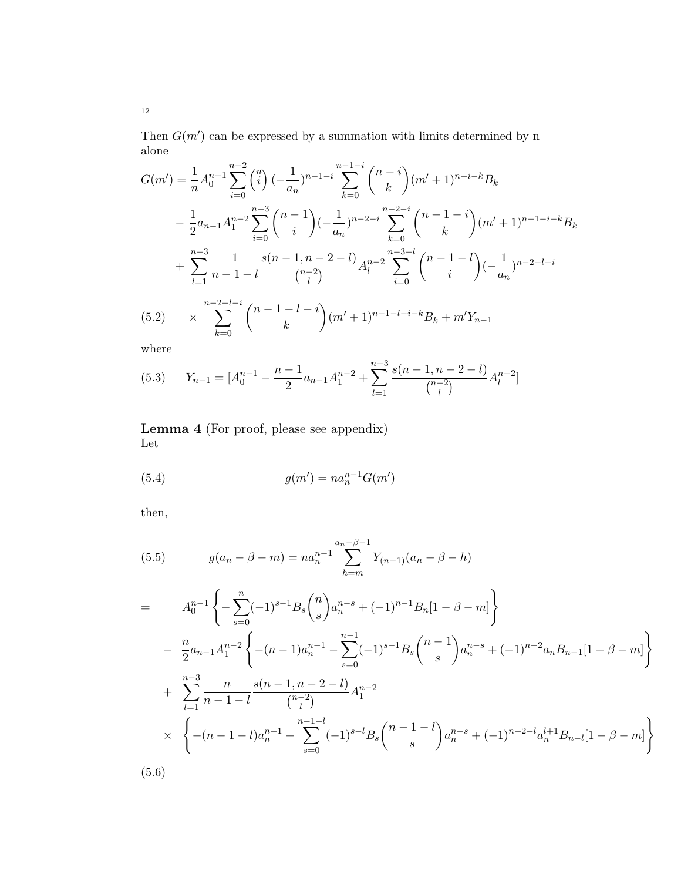Then  $G(m')$  can be expressed by a summation with limits determined by n alone

$$
G(m') = \frac{1}{n} A_0^{n-1} \sum_{i=0}^{n-2} {n \choose i} \left(-\frac{1}{a_n}\right)^{n-1-i} \sum_{k=0}^{n-1-i} {n-i \choose k} (m'+1)^{n-i-k} B_k
$$
  

$$
- \frac{1}{2} a_{n-1} A_1^{n-2} \sum_{i=0}^{n-3} {n-1 \choose i} \left(-\frac{1}{a_n}\right)^{n-2-i} \sum_{k=0}^{n-2-i} {n-1-i \choose k} (m'+1)^{n-1-i-k} B_k
$$
  

$$
+ \sum_{l=1}^{n-3} \frac{1}{n-1-l} \frac{s(n-1,n-2-l)}{{n-2 \choose l}} A_l^{n-2} \sum_{i=0}^{n-3-l} {n-1-l \choose i} \left(-\frac{1}{a_n}\right)^{n-2-l-i}
$$
  
(5.2) 
$$
\times \sum_{k=0}^{n-2-l-i} {n-1-l-i \choose k} (m'+1)^{n-1-l-i-k} B_k + m' Y_{n-1}
$$

where

$$
(5.3) \qquad Y_{n-1} = [A_0^{n-1} - \frac{n-1}{2}a_{n-1}A_1^{n-2} + \sum_{l=1}^{n-3} \frac{s(n-1, n-2-l)}{\binom{n-2}{l}}A_l^{n-2}]
$$

Lemma 4 (For proof, please see appendix) Let

(5.4) 
$$
g(m') = na_n^{n-1} G(m')
$$

then,

(5.5) 
$$
g(a_n - \beta - m) = na_n^{n-1} \sum_{h=m}^{a_n - \beta - 1} Y_{(n-1)}(a_n - \beta - h)
$$

$$
= A_0^{n-1} \left\{ -\sum_{s=0}^n (-1)^{s-1} B_s {n \choose s} a_n^{n-s} + (-1)^{n-1} B_n [1 - \beta - m] \right\}
$$
  
\n
$$
- \frac{n}{2} a_{n-1} A_1^{n-2} \left\{ -(n-1) a_n^{n-1} - \sum_{s=0}^{n-1} (-1)^{s-1} B_s {n-1 \choose s} a_n^{n-s} + (-1)^{n-2} a_n B_{n-1} [1 - \beta - m] \right\}
$$
  
\n
$$
+ \sum_{l=1}^{n-3} \frac{n}{n-1-l} \frac{s(n-1, n-2-l)}{{n-2 \choose l}} A_1^{n-2}
$$
  
\n
$$
\times \left\{ -(n-1-l) a_n^{n-1} - \sum_{s=0}^{n-1-l} (-1)^{s-l} B_s {n-1-l \choose s} a_n^{n-s} + (-1)^{n-2-l} a_n^{l+1} B_{n-l} [1 - \beta - m] \right\}
$$

(5.6)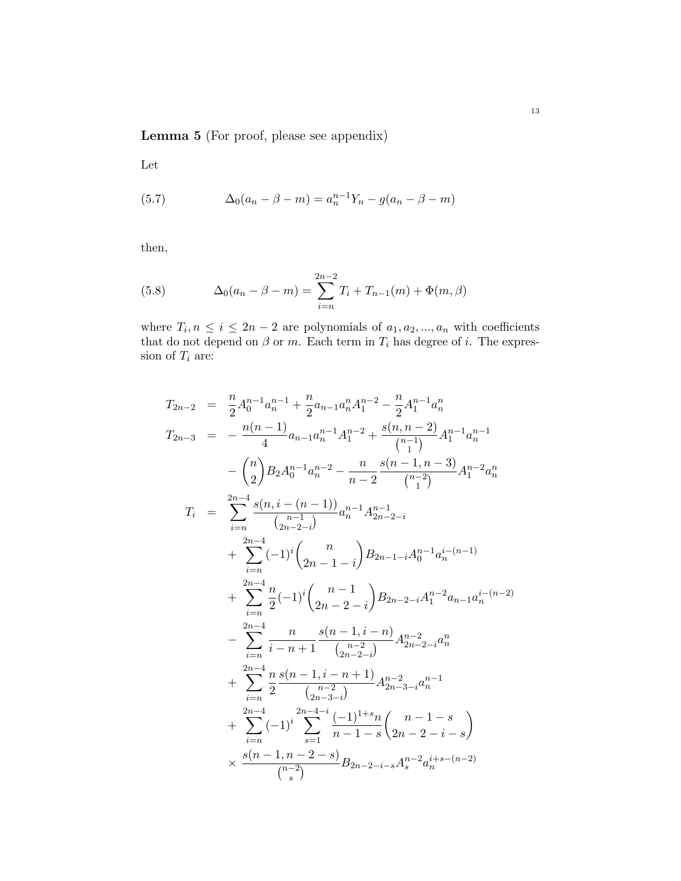Lemma 5 (For proof, please see appendix)

Let

(5.7) 
$$
\Delta_0(a_n - \beta - m) = a_n^{n-1} Y_n - g(a_n - \beta - m)
$$

then,

(5.8) 
$$
\Delta_0(a_n - \beta - m) = \sum_{i=n}^{2n-2} T_i + T_{n-1}(m) + \Phi(m, \beta)
$$

where  $T_i, n \leq i \leq 2n-2$  are polynomials of  $a_1, a_2, ..., a_n$  with coefficients that do not depend on  $\beta$  or m. Each term in  $T_i$  has degree of i. The expression of  $T_i$  are:

$$
T_{2n-2} = \frac{n}{2} A_0^{n-1} a_n^{n-1} + \frac{n}{2} a_{n-1} a_n^n A_1^{n-2} - \frac{n}{2} A_1^{n-1} a_n^n
$$
  
\n
$$
T_{2n-3} = -\frac{n(n-1)}{4} a_{n-1} a_n^{n-1} A_1^{n-2} + \frac{s(n, n-2)}{\binom{n-1}{1}} A_1^{n-1} a_n^{n-1}
$$
  
\n
$$
-\binom{n}{2} B_2 A_0^{n-1} a_n^{n-2} - \frac{n}{n-2} \frac{s(n-1, n-3)}{\binom{n-2}{1}} A_1^{n-2} a_n^n
$$
  
\n
$$
T_i = \sum_{i=n}^{2n-4} \frac{s(n, i - (n-1))}{\binom{n-1}{2n-2-i}} a_n^{n-1} A_{2n-2-i}^{n-1}
$$
  
\n
$$
+ \sum_{i=n}^{2n-4} (-1)^i \binom{n}{2n-1-i} B_{2n-1-i} A_0^{n-1} a_n^{i-(n-1)}
$$
  
\n
$$
+ \sum_{i=n}^{2n-4} \frac{n}{2} (-1)^i \binom{n-1}{2n-2-i} B_{2n-2-i} A_1^{n-2} a_{n-1} a_n^{i-(n-2)}
$$
  
\n
$$
- \sum_{i=n}^{2n-4} \frac{n}{i-n+1} \frac{s(n-1, i - n)}{\binom{n-2}{2n-2-i}} A_{2n-2-i}^{n-2} a_n^{n}
$$
  
\n
$$
+ \sum_{i=n}^{2n-4} \frac{n}{2} \frac{s(n-1, i - n + 1)}{\binom{n-2-i}{2n-3-i}} A_{2n-3-i}^{n-2} a_n^{n-1}
$$
  
\n
$$
+ \sum_{i=n}^{2n-4} \frac{1}{2n-1} \frac{s(n-1)!+s_n}{n-1-s} \binom{n-1-s}{2n-2-i-s} A_n^{n-2} a_n^{i+s-(n-2)}
$$
  
\n
$$
\times \frac{s(n-1, n-2-s)}{\binom{n-2}{s}} B_{2n-2-i-s} A_n^{n-2} a_n^{i+s-(n-2)}
$$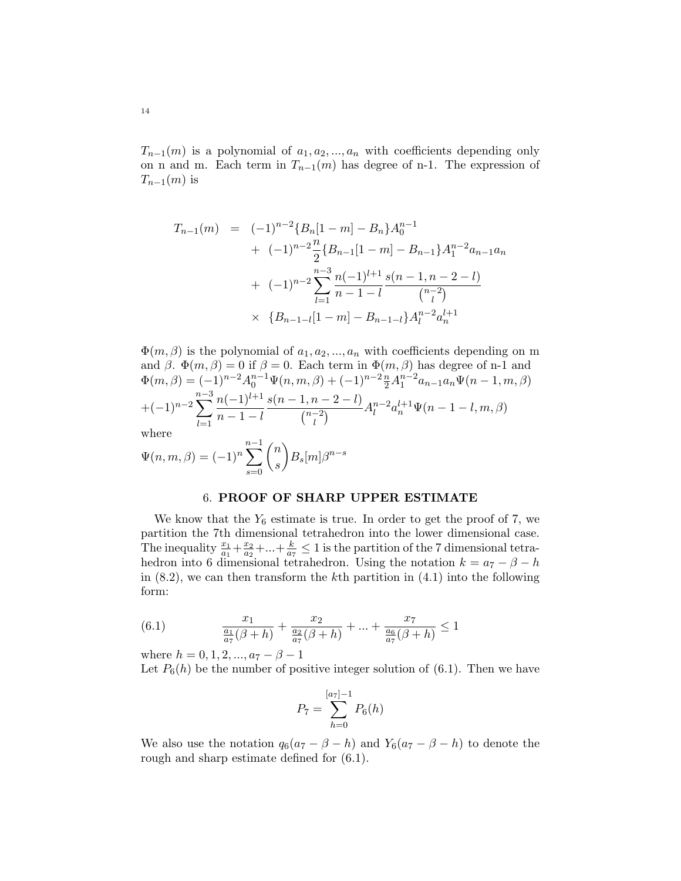$T_{n-1}(m)$  is a polynomial of  $a_1, a_2, ..., a_n$  with coefficients depending only on n and m. Each term in  $T_{n-1}(m)$  has degree of n-1. The expression of  $T_{n-1}(m)$  is

$$
T_{n-1}(m) = (-1)^{n-2} \{B_n[1-m] - B_n\} A_0^{n-1}
$$
  
+ 
$$
(-1)^{n-2} \frac{n}{2} \{B_{n-1}[1-m] - B_{n-1}\} A_1^{n-2} a_{n-1} a_n
$$
  
+ 
$$
(-1)^{n-2} \sum_{l=1}^{n-3} \frac{n(-1)^{l+1}}{n-1-l} \frac{s(n-1,n-2-l)}{\binom{n-2}{l}}
$$
  
× 
$$
\{B_{n-1-l}[1-m] - B_{n-1-l}\} A_l^{n-2} a_n^{l+1}
$$

 $\Phi(m,\beta)$  is the polynomial of  $a_1, a_2, ..., a_n$  with coefficients depending on m and  $\beta$ .  $\Phi(m,\beta) = 0$  if  $\beta = 0$ . Each term in  $\Phi(m,\beta)$  has degree of n-1 and  $\Phi(m,\beta) = (-1)^{n-2} A_0^{n-1} \Psi(n,m,\beta) + (-1)^{n-2} \frac{n}{2} A_1^{n-2} a_{n-1} a_n \Psi(n-1,m,\beta)$  $+(-1)^{n-2}$  $\sum_{ }^{n-3}$  $_{l=1}$  $n(-1)^{l+1}$  $n-1-l$  $s(n-1, n-2-l)$  $\binom{n-2}{1}$  $\frac{(l-2-l)}{l}A_l^{n-2}$  $\frac{n-2}{l}a_n^{l+1}\Psi(n-1-l,m,\beta)$ where n

$$
\Psi(n, m, \beta) = (-1)^n \sum_{s=0}^{n-1} \binom{n}{s} B_s[m] \beta^{n-s}
$$

#### 6. PROOF OF SHARP UPPER ESTIMATE

We know that the  $Y_6$  estimate is true. In order to get the proof of 7, we partition the 7th dimensional tetrahedron into the lower dimensional case. The inequality  $\frac{x_1}{a_1} + \frac{x_2}{a_2}$  $\frac{x_2}{a_2} + ... + \frac{k}{a}$  $\frac{k}{a_7} \leq 1$  is the partition of the 7 dimensional tetrahedron into 6 dimensional tetrahedron. Using the notation  $k = a_7 - \beta - h$ in  $(8.2)$ , we can then transform the kth partition in  $(4.1)$  into the following form:

(6.1) 
$$
\frac{x_1}{\frac{a_1}{a_7}(\beta + h)} + \frac{x_2}{\frac{a_2}{a_7}(\beta + h)} + \dots + \frac{x_7}{\frac{a_6}{a_7}(\beta + h)} \le 1
$$

where  $h = 0, 1, 2, ..., a_7 - \beta - 1$ 

Let  $P_6(h)$  be the number of positive integer solution of (6.1). Then we have

$$
P_7 = \sum_{h=0}^{[a_7]-1} P_6(h)
$$

We also use the notation  $q_6(a_7 - \beta - h)$  and  $Y_6(a_7 - \beta - h)$  to denote the rough and sharp estimate defined for (6.1).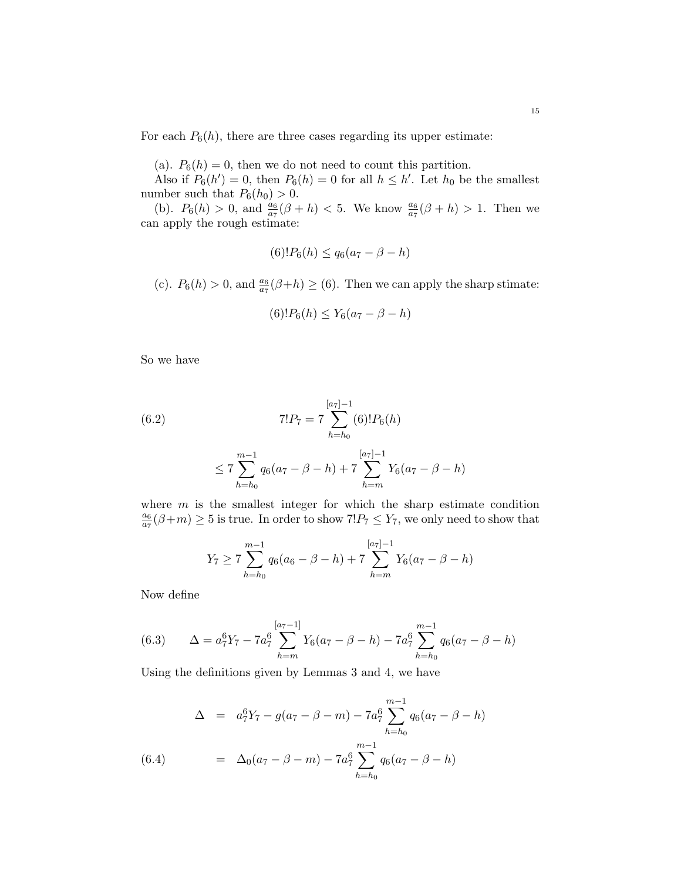For each  $P_6(h)$ , there are three cases regarding its upper estimate:

(a).  $P_6(h) = 0$ , then we do not need to count this partition.

Also if  $P_6(h') = 0$ , then  $P_6(h) = 0$  for all  $h \leq h'$ . Let  $h_0$  be the smallest number such that  $P_6(h_0) > 0$ .

(b).  $P_6(h) > 0$ , and  $\frac{a_6}{a_7}(\beta + h) < 5$ . We know  $\frac{a_6}{a_7}(\beta + h) > 1$ . Then we can apply the rough estimate:

$$
(6)!P_6(h) \le q_6(a_7 - \beta - h)
$$

(c).  $P_6(h) > 0$ , and  $\frac{a_6}{a_7}(\beta + h) \ge (6)$ . Then we can apply the sharp stimate:

$$
(6)!P_6(h) \le Y_6(a_7 - \beta - h)
$$

So we have

(6.2) 
$$
7!P_7 = 7 \sum_{h=h_0}^{[a_7]-1} (6)! P_6(h)
$$

$$
\leq 7\sum_{h=h_0}^{m-1}q_6(a_7-\beta-h)+7\sum_{h=m}^{[a_7]-1}Y_6(a_7-\beta-h)
$$

where  $m$  is the smallest integer for which the sharp estimate condition  $a_6$  $\frac{a_6}{a_7}(\beta+m) \ge 5$  is true. In order to show  $7!P_7 \le Y_7$ , we only need to show that

$$
Y_7 \ge 7 \sum_{h=h_0}^{m-1} q_6(a_6 - \beta - h) + 7 \sum_{h=m}^{[a_7]-1} Y_6(a_7 - \beta - h)
$$

Now define

(6.3) 
$$
\Delta = a_7^6 Y_7 - 7a_7^6 \sum_{h=m}^{[a_7-1]} Y_6(a_7 - \beta - h) - 7a_7^6 \sum_{h=h_0}^{m-1} q_6(a_7 - \beta - h)
$$

Using the definitions given by Lemmas 3 and 4, we have

$$
\Delta = a_7^6 Y_7 - g(a_7 - \beta - m) - 7a_7^6 \sum_{h=h_0}^{m-1} q_6(a_7 - \beta - h)
$$
  
(6.4) 
$$
= \Delta_0(a_7 - \beta - m) - 7a_7^6 \sum_{h=h_0}^{m-1} q_6(a_7 - \beta - h)
$$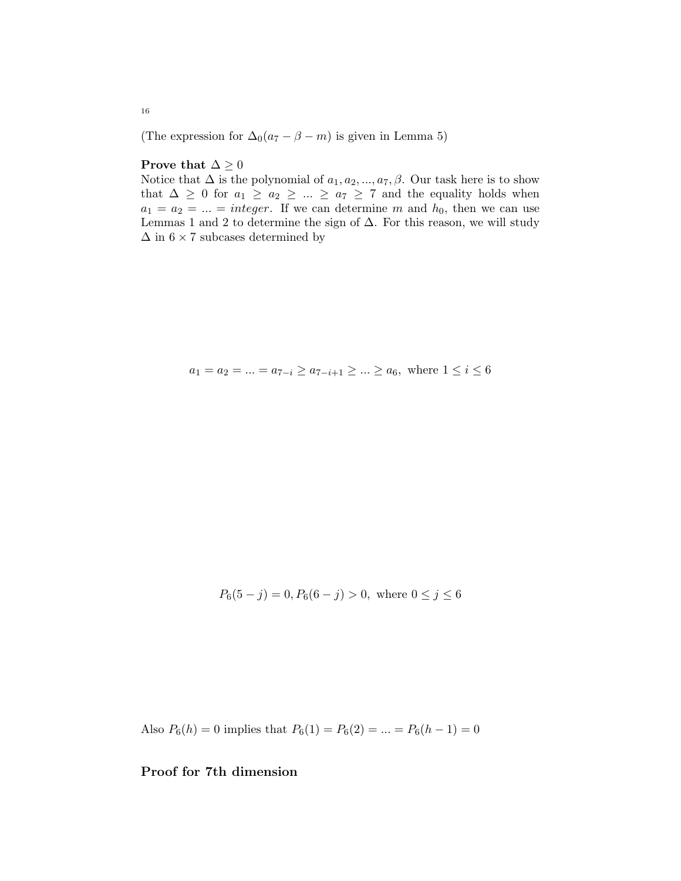(The expression for  $\Delta_0(a_7 - \beta - m)$  is given in Lemma 5)

## Prove that  $\Delta \geq 0$

Notice that  $\Delta$  is the polynomial of  $a_1, a_2, ..., a_7, \beta$ . Our task here is to show that  $\Delta \geq 0$  for  $a_1 \geq a_2 \geq ... \geq a_7 \geq 7$  and the equality holds when  $a_1 = a_2 = ... = integer$ . If we can determine m and  $h_0$ , then we can use Lemmas 1 and 2 to determine the sign of  $\Delta$ . For this reason, we will study  $\Delta$  in  $6\times 7$  subcases determined by

$$
a_1 = a_2 = \dots = a_{7-i} \ge a_{7-i+1} \ge \dots \ge a_6
$$
, where  $1 \le i \le 6$ 

$$
P_6(5-j) = 0, P_6(6-j) > 0, \text{ where } 0 \le j \le 6
$$

Also  $P_6(h) = 0$  implies that  $P_6(1) = P_6(2) = ... = P_6(h-1) = 0$ 

# Proof for 7th dimension

16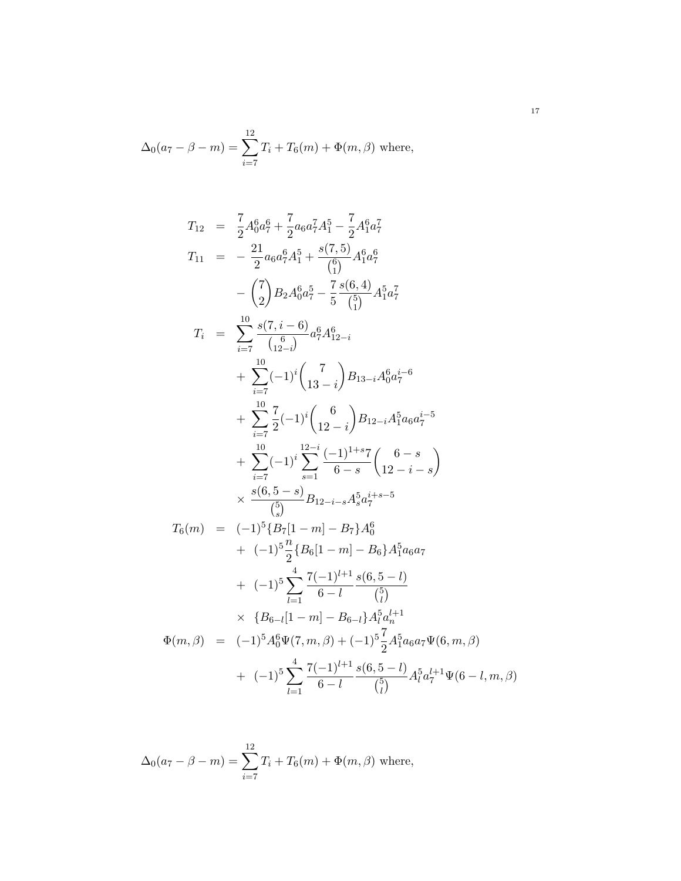$$
\Delta_0(a_7 - \beta - m) = \sum_{i=7}^{12} T_i + T_6(m) + \Phi(m, \beta)
$$
 where,

$$
T_{12} = \frac{7}{2} A_0^6 a_7^6 + \frac{7}{2} a_6 a_7^7 A_1^5 - \frac{7}{2} A_1^6 a_7^7
$$
  
\n
$$
T_{11} = -\frac{21}{2} a_6 a_7^6 A_1^5 + \frac{s(7,5)}{\binom{6}{1}} A_1^6 a_7^6
$$
  
\n
$$
-\binom{7}{2} B_2 A_0^6 a_7^5 - \frac{7}{5} \frac{s(6,4)}{\binom{6}{1}} A_1^5 a_7^7
$$
  
\n
$$
T_i = \sum_{i=7}^{10} \frac{s(7, i-6)}{\binom{6}{12-i}} a_7^6 A_{12-i}^6
$$
  
\n
$$
+ \sum_{i=7}^{10} (-1)^i \binom{7}{13-i} B_{13-i} A_0^6 a_7^{i-6}
$$
  
\n
$$
+ \sum_{i=7}^{10} \frac{7}{2} (-1)^i \binom{6}{12-i} B_{12-i} A_1^5 a_6 a_7^{i-5}
$$
  
\n
$$
+ \sum_{i=7}^{10} (-1)^i \sum_{s=1}^{12-i} \frac{(-1)^{1+s} 7}{6-s} \binom{6-s}{12-i-s}
$$
  
\n
$$
\times \frac{s(6,5-s)}{\binom{5}{5}} B_{12-i-s} A_3^5 a_7^{i+s-5}
$$
  
\n
$$
T_6(m) = (-1)^5 \{B_7 [1-m] - B_7\} A_6^6
$$
  
\n
$$
+ (-1)^5 \sum_{l=1}^{4} \frac{7(-1)^{l+1}}{6-l} \frac{s(6,5-l)}{\binom{5}{l}}
$$
  
\n
$$
\times \{B_{6-l} [1-m] - B_{6-l} \} A_1^5 a_6 a_7
$$
  
\n
$$
\Phi(m,\beta) = (-1)^5 A_0^6 \Psi(7,m,\beta) + (-1)^5 \sum_{l=1}^{7} A_1^5 a_6 a_7 \Psi(6,m,\beta)
$$
  
\n
$$
+ (-1)^5 \sum_{l=1}^{4} \frac{7(-1)^{l+1}}{6-l} \frac{s(6,5-l)}{\
$$

$$
\Delta_0(a_7 - \beta - m) = \sum_{i=7}^{12} T_i + T_6(m) + \Phi(m, \beta)
$$
 where,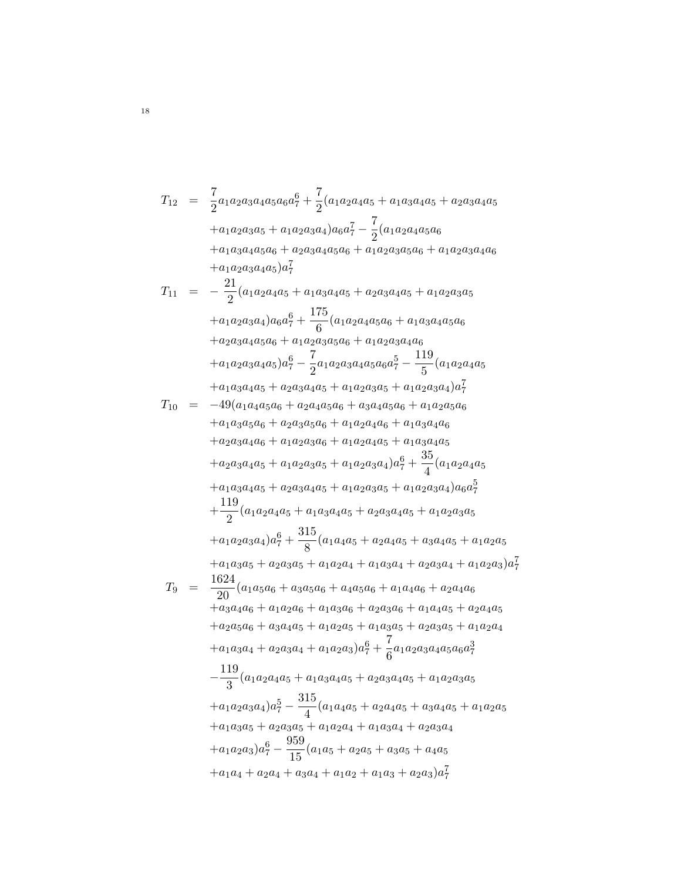$$
T_{12} = \frac{7}{2}a_1a_2a_3a_4a_5a_6a_7^6 + \frac{7}{2}(a_1a_2a_4a_5 + a_1a_3a_4a_5 + a_2a_3a_4a_5 + a_1a_2a_3a_4 + a_1a_2a_3a_4a_5 + a_1a_2a_3a_4a_5a_6 + a_1a_2a_3a_4a_5a_6 + a_1a_2a_3a_4a_5a_6 + a_1a_2a_3a_4a_5a_6 + a_1a_2a_3a_4a_5a_6 + a_1a_2a_3a_4a_5 + a_1a_2a_3a_4a_6 + a_1a_2a_3a_4a_5 + a_1a_2a_3a_4a_6 + a_1a_2a_3a_4a_6 + a_1a_2a_3a_4a_6 + a_1a_2a_3a_4a_6 + a_1a_2a_3a_4a_6 + a_1a_2a_3a_4a_6 + a_1a_2a_3a_4a_6 + a_1a_2a_3a_4a_6 + a_1a_2a_3a_4a_6 + a_1a_2a_3a_4a_6 + a_1a_2a_3a_4a_6 + a_1a_2a_3a_4a_6 + a_1a_2a_3a_4a_6 + a_1a_2a_3a_4a_6 + a_1a_2a_3a_4 + a_1a_2a_3a_6 + a_1a_2a_3a_6 + a_1a_2a_3a_6 + a_1a_2a_3a_6 + a_1a_2a_3a_6 + a_1a_2a_3a_6 + a_1a_2a_3a_6 + a_1a_2a_3a_6 + a_1a_2a_3a_6 + a_1a_2a_3a_6 + a_1a_2a_4a_6 + a_1a_2a_4a_6 + a_1a_2a_4a_6 + a_1a_2a_4a_6 + a_2a_3a_4a_6 + a_1a_2a_4a_6 + a_2a_3a_4a_6 + a_1a_2a_4a_6 + a_2a_3a_4a_6 + a_1a_2a_3a_4 + a_1a_2a
$$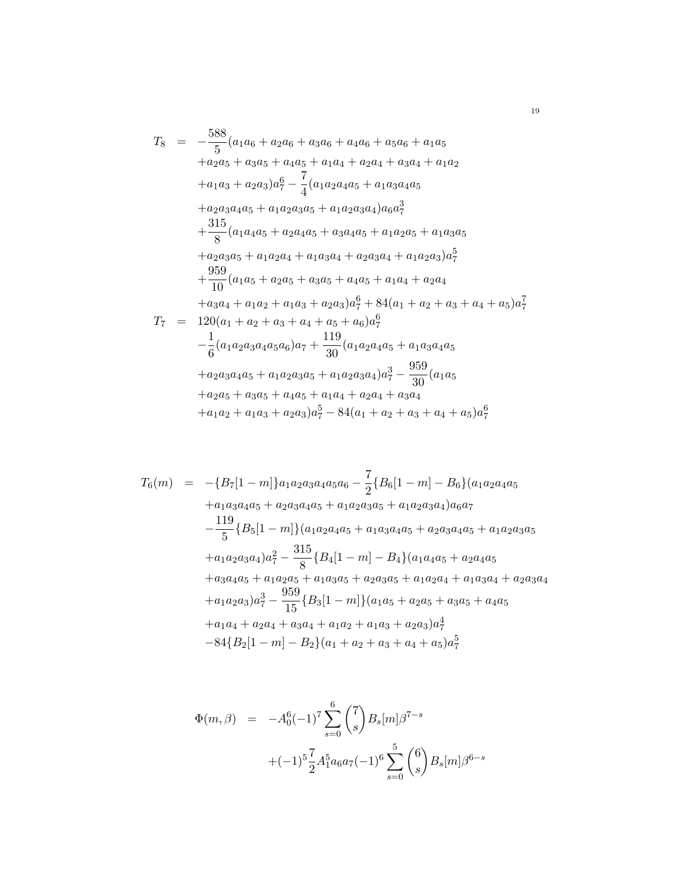$$
T_8 = -\frac{588}{5}(a_1a_6 + a_2a_6 + a_3a_6 + a_4a_6 + a_5a_6 + a_1a_5 + a_2a_5 + a_3a_5 + a_4a_5 + a_1a_4 + a_2a_4 + a_3a_4 + a_1a_2 + a_1a_3 + a_2a_3)a_7^6 - \frac{7}{4}(a_1a_2a_4a_5 + a_1a_3a_4a_5 + a_2a_3a_4a_5 + a_1a_2a_3a_4 + a_1a_2a_3a_4)a_6a_7^3
$$
  
\n
$$
+ \frac{315}{8}(a_1a_4a_5 + a_2a_4a_5 + a_3a_4a_5 + a_1a_2a_5 + a_1a_3a_5 + a_2a_3a_5 + a_1a_2a_4 + a_1a_3a_4 + a_2a_3a_4 + a_1a_2a_3)a_7^5
$$
  
\n
$$
+ \frac{959}{10}(a_1a_5 + a_2a_5 + a_3a_5 + a_4a_5 + a_1a_4 + a_2a_4 + a_3a_4 + a_1a_2 + a_1a_3 + a_2a_3)a_7^6 + 84(a_1 + a_2 + a_3 + a_4 + a_5)a_7^7
$$
  
\n
$$
T_7 = 120(a_1 + a_2 + a_3 + a_4 + a_5 + a_6)a_7^6
$$
  
\n
$$
- \frac{1}{6}(a_1a_2a_3a_4a_5a_6)a_7 + \frac{119}{30}(a_1a_2a_4a_5 + a_1a_3a_4a_5 + a_2a_3a_4a_5 + a_2a_3a_4a_5 + a_1a_2a_3a_4)a_7^3 - \frac{959}{30}(a_1a_5 + a_2a_5 + a_3a_5 + a_4a_5 + a_1a_4 + a_2a_4 + a_3a_4 + a_1a_2 + a_1a_3 + a_2a_3)a_7^5 - 84(a_1 + a_2 + a_3 + a_4 + a_5)a_7^6
$$

$$
T_6(m) = -\{B_7[1-m]\}a_1a_2a_3a_4a_5a_6 - \frac{7}{2}\{B_6[1-m] - B_6\}(a_1a_2a_4a_5 + a_1a_3a_4a_5 + a_2a_3a_4a_5 + a_1a_2a_3a_5 + a_1a_2a_3a_4)a_6a_7 - \frac{119}{5}\{B_5[1-m]\}(a_1a_2a_4a_5 + a_1a_3a_4a_5 + a_2a_3a_4a_5 + a_1a_2a_3a_5 + a_1a_2a_3a_4)a_7^2 - \frac{315}{8}\{B_4[1-m] - B_4\}(a_1a_4a_5 + a_2a_4a_5 + a_3a_4a_5 + a_1a_2a_5 + a_1a_2a_5 + a_1a_3a_5 + a_2a_3a_5 + a_1a_2a_4 + a_1a_3a_4 + a_2a_3a_4 + a_1a_2a_3)a_7^3 - \frac{959}{15}\{B_3[1-m]\}(a_1a_5 + a_2a_5 + a_3a_5 + a_4a_5 + a_1a_4 + a_2a_4 + a_3a_4 + a_1a_2 + a_1a_3 + a_2a_3)a_7^4 - 84\{B_2[1-m] - B_2\}(a_1 + a_2 + a_3 + a_4 + a_5)a_7^5
$$

$$
\Phi(m,\beta) = -A_0^6(-1)^7 \sum_{s=0}^6 {7 \choose s} B_s[m] \beta^{7-s}
$$

$$
+(-1)^5 \frac{7}{2} A_1^5 a_6 a_7(-1)^6 \sum_{s=0}^5 {6 \choose s} B_s[m] \beta^{6-s}
$$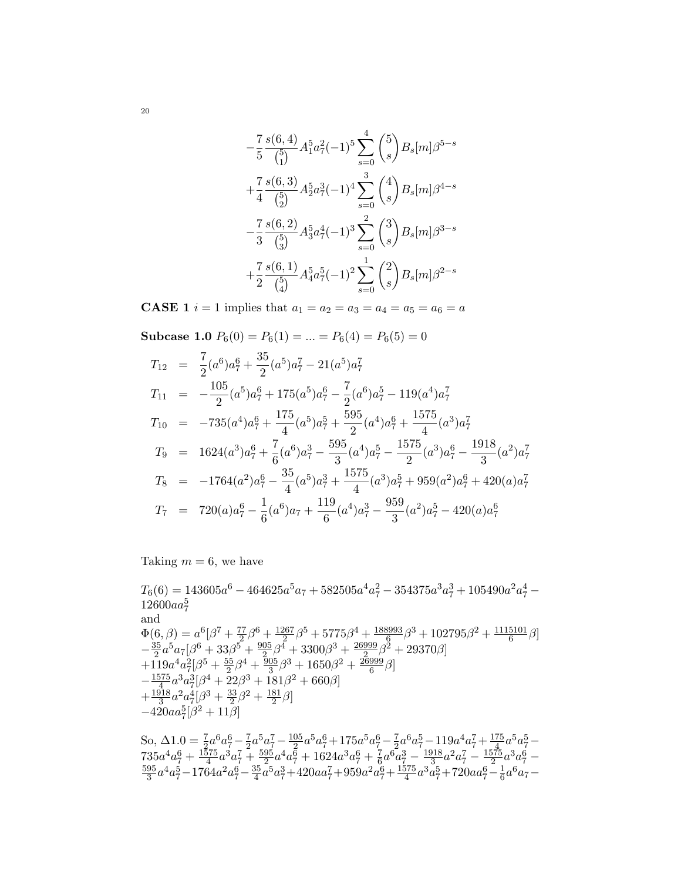$$
-\frac{7}{5} \frac{s(6,4)}{\binom{5}{1}} A_1^5 a_7^2 (-1)^5 \sum_{s=0}^4 \binom{5}{s} B_s[m] \beta^{5-s}
$$
  
+
$$
\frac{7}{4} \frac{s(6,3)}{\binom{5}{2}} A_2^5 a_7^3 (-1)^4 \sum_{s=0}^3 \binom{4}{s} B_s[m] \beta^{4-s}
$$
  
-
$$
\frac{7}{3} \frac{s(6,2)}{\binom{5}{3}} A_3^5 a_7^4 (-1)^3 \sum_{s=0}^2 \binom{3}{s} B_s[m] \beta^{3-s}
$$
  
+
$$
\frac{7}{2} \frac{s(6,1)}{\binom{5}{4}} A_4^5 a_7^5 (-1)^2 \sum_{s=0}^1 \binom{2}{s} B_s[m] \beta^{2-s}
$$

**CASE 1** *i* = 1 implies that  $a_1 = a_2 = a_3 = a_4 = a_5 = a_6 = a$ 

**Subcase 1.0** 
$$
P_6(0) = P_6(1) = ... = P_6(4) = P_6(5) = 0
$$

$$
T_{12} = \frac{7}{2}(a^6)a_7^6 + \frac{35}{2}(a^5)a_7^7 - 21(a^5)a_7^7
$$
  
\n
$$
T_{11} = -\frac{105}{2}(a^5)a_7^6 + 175(a^5)a_7^6 - \frac{7}{2}(a^6)a_7^5 - 119(a^4)a_7^7
$$
  
\n
$$
T_{10} = -735(a^4)a_7^6 + \frac{175}{4}(a^5)a_7^5 + \frac{595}{2}(a^4)a_7^6 + \frac{1575}{4}(a^3)a_7^7
$$
  
\n
$$
T_9 = 1624(a^3)a_7^6 + \frac{7}{6}(a^6)a_7^3 - \frac{595}{3}(a^4)a_7^5 - \frac{1575}{2}(a^3)a_7^6 - \frac{1918}{3}(a^2)a_7^7
$$
  
\n
$$
T_8 = -1764(a^2)a_7^6 - \frac{35}{4}(a^5)a_7^3 + \frac{1575}{4}(a^3)a_7^5 + 959(a^2)a_7^6 + 420(a)a_7^7
$$
  
\n
$$
T_7 = 720(a)a_7^6 - \frac{1}{6}(a^6)a_7 + \frac{119}{6}(a^4)a_7^3 - \frac{959}{3}(a^2)a_7^5 - 420(a)a_7^6
$$

Taking  $m = 6$ , we have

 $T_6(6) = 143605a^6 - 464625a^5a_7 + 582505a^4a_7^2 - 354375a^3a_7^3 + 105490a^2a_7^4 12600aa_7^5$ and and<br>  $\Phi(6,\beta) = a^6[\beta^7 + \frac{77}{2}\beta^6 + \frac{1267}{2}\beta^5 + 5775\beta^4 + \frac{188993}{6}\beta^3 + 102795\beta^2 + \frac{1115101}{6}\beta]$ <br>  $-\frac{35}{2}a^5a_7[\beta^6 + 33\beta^5 + \frac{905}{2}\beta^4 + 3300\beta^3 + \frac{26999}{2}\beta^2 + 29370\beta]$ <br>  $+119a^4a_7^2[\beta^5 + \frac{55}{2}\beta^4 + \frac{905}{3}\$  $S_0$ ,  $\Lambda$ 1.0 -  $\frac{7}{4}a^6a^6 - \frac{7}{4}a^5a^7 - \frac{105}{4}a^5a^6 + 175a^5a^6 - \frac{7}{4}a^6a^5 - 119a^4a^7 + \frac{175}{4}a^5a^5 -$ 

So, 
$$
\Delta 1.0 = \frac{1}{2}a^{\circ}a_{7}^{\circ} - \frac{1}{2}a^{\circ}a_{7}^{\circ} - \frac{1}{2}a^{\circ}a_{7}^{\circ} + 175a^{\circ}a_{7}^{\circ} - \frac{1}{2}a^{\circ}a_{7}^{\circ} - 119a^{\circ}a_{7}^{\circ} + \frac{1575}{4}a^{\circ}a_{7}^{\circ} - 735a^4a_7^6 + \frac{1575}{4}a^3a_7^7 + \frac{595}{2}a^4a_7^6 + 1624a^3a_7^6 + \frac{7}{6}a^6a_7^3 - \frac{1918}{3}a^2a_7^7 - \frac{1575}{2}a^3a_7^6 - \frac{595}{3}a^4a_7^5 - 1764a^2a_7^6 - \frac{35}{4}a^5a_7^3 + 420aa_7^7 + 959a^2a_7^6 + \frac{1575}{4}a^3a_7^5 + 720aa_7^6 - \frac{1}{6}a^6a_7 - \frac{1575}{6}a^3a_7^5 - \frac{1575}{6}a^3a_7^5 - \frac{1575}{6}a^3a_7^5 - \frac{1575}{6}a^3a_7^5 - \frac{1575}{6}a^3a_7^5 - \frac{1575}{6}a^3a_7^5 - \frac{1575}{6}a^3a_7^5 - \frac{1575}{6}a^3a_7^5 - \frac{1575}{6}a^3a_7^5 - \frac{1575}{6}a^3a_7^5 - \frac{1575}{6}a^3a_7^5 - \frac{1575}{6}a^3a_7^5 - \frac{1575}{6}a^3a_7^5 - \frac{1575}{6}a^3a_7^5 - \frac{1575}{6}a^3a_7^5 - \frac{1575}{6}a^3a_7^5 - \frac{1575}{6}a^3a_7^5 - \frac{1575}{6}a^3a_7^5 - \frac{1575}{6}a^3a_7^5 - \frac{1575}{6}a^3a_7
$$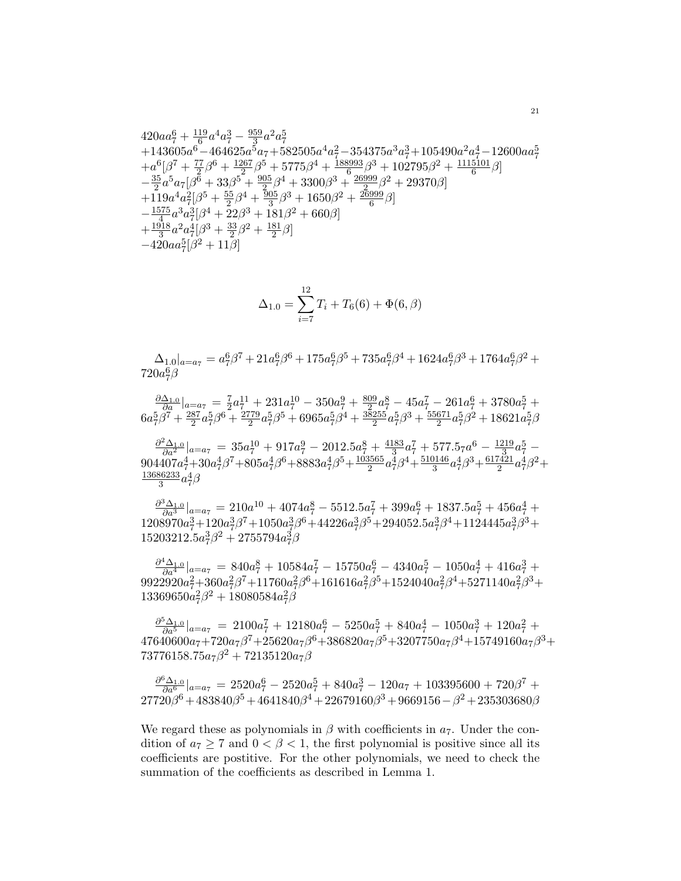$$
\begin{array}{l} 420a{a}^{6}_7+{\frac {119}{6}}a^4{a}^{3}_7-{\frac {959}{3}}a^2{a}^{5}_7\\+143605a^6-464625a^5a_7+582505a^4a^2_7-354375a^3a^3_7+105490a^2a^4_7-12600a{a}^{5}_7\\+a^6[\beta^7+{\frac {77}{2}}\beta^6+{\frac {1267}{2}}\beta^5+5775\beta^4+{\frac {188993}{6}}\beta^3+102795\beta^2+{\frac {1115101}{6}}\beta]\\-{\frac {35}{2}}a^5a_7[\beta^6+33\beta^5+{\frac {905}{2}}\beta^4+3300\beta^3+{\frac {26999}{2}}\beta^2+29370\beta]\\+119a^4a^2_7[\beta^5+{\frac {55}{2}}\beta^4+{\frac {905}{3}}\beta^3+1650\beta^2+{\frac {26999}{6}}\beta]\\-{\frac {1575}{4}}a^3a^3_7[\beta^4+22\beta^3+181\beta^2+660\beta]\\+{\frac {1918}{3}}a^2a^4_7[\beta^3+{\frac {33}{2}}\beta^2+{\frac {181}{2}}\beta]\\-420a a^5_7[\beta^2+11\beta]\end{array}
$$

$$
\Delta_{1.0} = \sum_{i=7}^{12} T_i + T_6(6) + \Phi(6, \beta)
$$

 $\Delta_{1.0}|_{a=a_7}=a_7^6\beta^7+21a_7^6\beta^6+175a_7^6\beta^5+735a_7^6\beta^4+1624a_7^6\beta^3+1764a_7^6\beta^2+$  $720a_7^6\beta$ 

 $\frac{\partial \Delta_{1,0}}{\partial a}|_{a=a_7} = \frac{7}{2}a_7^{11} + 231a_7^{10} - 350a_7^9 + \frac{809}{2}a_7^8 - 45a_7^7 - 261a_7^6 + 3780a_7^5 + 6a_7^5\beta^7 + \frac{287}{2}a_7^5\beta^6 + \frac{2779}{2}a_7^5\beta^5 + 6965a_7^5\beta^4 + \frac{38255}{2}a_7^5\beta^3 + \frac{55671}{2}a_7^5\beta^2 + 18621a_$ 

 $\frac{\partial^2 \Delta_{1.0}}{\partial a^2}\big|_{a=a_7} = 35 a_7^{10} + 917 a_7^9 - 2012.5 a_7^8 + \frac{4183}{3} a_7^7 + 577.5_7 a^6 - \frac{1219}{3} a_7^5 - 904407 a_7^4 + 30 a_7^4 \beta^7 + 805 a_7^4 \beta^6 + 8883 a_7^4 \beta^5 + \frac{103565}{2} a_7^4 \beta^4 + \frac{510146}{3} a_7^4 \beta^3 + \frac{617421}{2} a_7$  $\frac{13686233}{3}a_7^4\beta$ 

 $\frac{\partial^3 \Delta_{1,0}}{\partial a^3}|_{a=a_7}=210 a^{10}+4074 a^8_7-5512.5 a^7_7+399 a^6_7+1837.5 a^5_7+456 a^4_7+1208970 a^3_7+120 a^3_7 \beta^7+1050 a^3_7 \beta^6+44226 a^3_7 \beta^5+294052.5 a^3_7 \beta^4+1124445 a^3_7 \beta^3+15203212.5 a^3_7 \beta^2+2755794 a^3_7 \beta$ 

 $\frac{\partial^4 \Delta_{1,0}}{\partial a^4}|_{a=a_7}=840a_7^8+10584a_7^7-15750a_7^6-4340a_7^5-1050a_7^4+416a_7^3+\\ 9922920a_7^2+360a_7^2\beta^7+11760a_7^2\beta^6+161616a_7^2\beta^5+1524040a_7^2\beta^4+5271140a_7^2\beta^3+\\$  $13369650a_7^2\beta^2 + 18080584a_7^2\beta$ 

 $\frac{\partial^5 \Delta_{1,0}}{\partial a^5}|_{a=a_7}=2100a_7^7+12180a_7^6-5250a_7^5+840a_7^4-1050a_7^3+120a_7^2+\\ 47640600a_7+720a_7\beta^7+25620a_7\beta^6+386820a_7\beta^5+3207750a_7\beta^4+15749160a_7\beta^3+$  $73776158.75a_7\beta^2 + 72135120a_7\beta$ 

 $\frac{\partial^6 \Delta_{1,0}}{\partial a^6}|_{a=a_7}=2520a_7^6-2520a_7^5+840a_7^3-120a_7+103395600+720\beta^7+27720\beta^6+483840\beta^5+4641840\beta^4+22679160\beta^3+9669156-\beta^2+235303680\beta$ 

We regard these as polynomials in  $\beta$  with coefficients in  $a_7$ . Under the condition of  $a_7 \geq 7$  and  $0 < \beta < 1$ , the first polynomial is positive since all its coefficients are postitive. For the other polynomials, we need to check the summation of the coefficients as described in Lemma 1.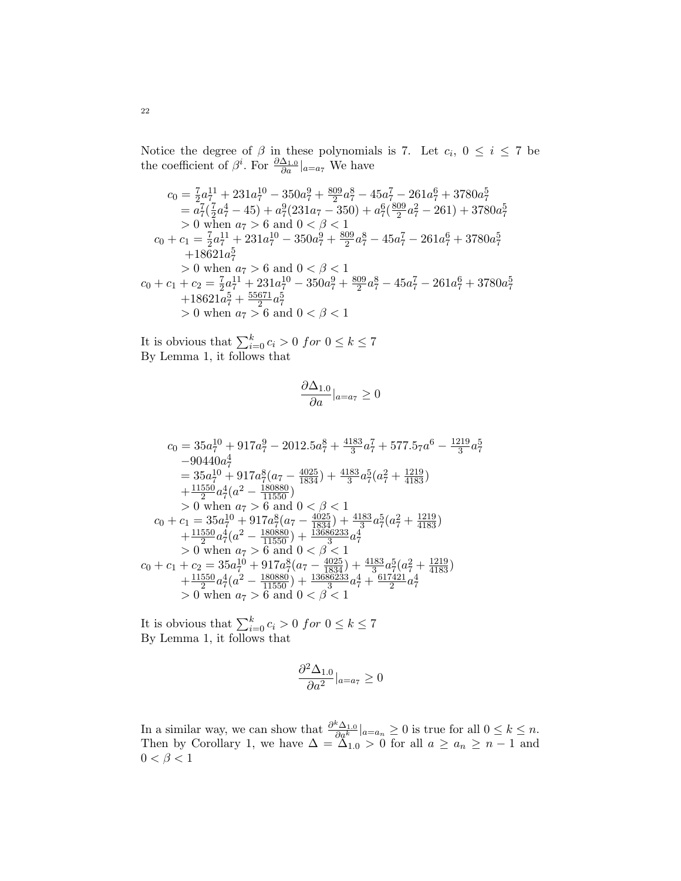Notice the degree of  $\beta$  in these polynomials is 7. Let  $c_i$ ,  $0 \le i \le 7$  be the coefficient of  $\beta^i$ . For  $\frac{\partial \Delta_{1,0}}{\partial a}|_{a=a_7}$  We have

$$
c_0 = \frac{7}{2}a_7^{11} + 231a_7^{10} - 350a_7^9 + \frac{809}{2}a_7^8 - 45a_7^7 - 261a_7^6 + 3780a_7^5
$$
  
\n
$$
= a_7^7(\frac{7}{2}a_7^4 - 45) + a_7^9(231a_7 - 350) + a_7^6(\frac{809}{2}a_7^2 - 261) + 3780a_7^5
$$
  
\n
$$
> 0 \text{ when } a_7 > 6 \text{ and } 0 < \beta < 1
$$
  
\n
$$
c_0 + c_1 = \frac{7}{2}a_7^{11} + 231a_7^{10} - 350a_7^9 + \frac{809}{2}a_7^8 - 45a_7^7 - 261a_7^6 + 3780a_7^5
$$
  
\n
$$
+18621a_7^5
$$
  
\n
$$
> 0 \text{ when } a_7 > 6 \text{ and } 0 < \beta < 1
$$
  
\n
$$
c_0 + c_1 + c_2 = \frac{7}{2}a_7^{11} + 231a_7^{10} - 350a_7^9 + \frac{809}{2}a_7^8 - 45a_7^7 - 261a_7^6 + 3780a_7^5
$$
  
\n
$$
+18621a_7^5 + \frac{55671}{2}a_7^5
$$
  
\n
$$
> 0 \text{ when } a_7 > 6 \text{ and } 0 < \beta < 1
$$

It is obvious that  $\sum_{i=0}^{k} c_i > 0$  *for*  $0 \le k \le 7$ <br>By Lemma 1, it follows that

$$
\frac{\partial \Delta_{1.0}}{\partial a}|_{a=a_7}\geq 0
$$

$$
c_0 = 35a_7^{10} + 917a_7^9 - 2012.5a_7^8 + \frac{4183}{3}a_7^7 + 577.57a_6 - \frac{1219}{3}a_7^5
$$
  
\n
$$
-90440a_7^4
$$
  
\n
$$
= 35a_7^{10} + 917a_7^8(a_7 - \frac{4025}{1834}) + \frac{4183}{3}a_7^5(a_7^2 + \frac{1219}{4183})
$$
  
\n
$$
+ \frac{11550}{2}a_7^4(a^2 - \frac{180880}{11550})
$$
  
\n
$$
> 0 \text{ when } a_7 > 6 \text{ and } 0 < \beta < 1
$$
  
\n
$$
c_0 + c_1 = 35a_7^{10} + 917a_7^8(a_7 - \frac{4025}{1834}) + \frac{4183}{3}a_7^5(a_7^2 + \frac{1219}{4183})
$$
  
\n
$$
+ \frac{11550}{2}a_7^4(a^2 - \frac{180880}{11550}) + \frac{13686233}{3}a_7^4
$$
  
\n
$$
> 0 \text{ when } a_7 > 6 \text{ and } 0 < \beta < 1
$$
  
\n
$$
c_0 + c_1 + c_2 = 35a_7^{10} + 917a_7^8(a_7 - \frac{4025}{1834}) + \frac{4183}{3}a_7^5(a_7^2 + \frac{1219}{4183})
$$
  
\n
$$
+ \frac{11550}{2}a_7^4(a^2 - \frac{180880}{11550}) + \frac{13686233}{3}a_7^4 + \frac{617421}{2}a_7^4
$$
  
\n
$$
> 0 \text{ when } a_7 > 6 \text{ and } 0 < \beta < 1
$$

It is obvious that  $\sum_{i=0}^{k} c_i > 0$  *for*  $0 \le k \le 7$ <br>By Lemma 1, it follows that

$$
\frac{\partial^2 \Delta_{1,0}}{\partial a^2} |_{a=a_7} \ge 0
$$

In a similar way, we can show that  $\frac{\partial^k \Delta_{1,0}}{\partial a^k}|_{a=a_n} \geq 0$  is true for all  $0 \leq k \leq n$ .<br>Then by Corollary 1, we have  $\Delta = \Delta_{1,0} > 0$  for all  $a \geq a_n \geq n-1$  and  $0 < \beta < 1$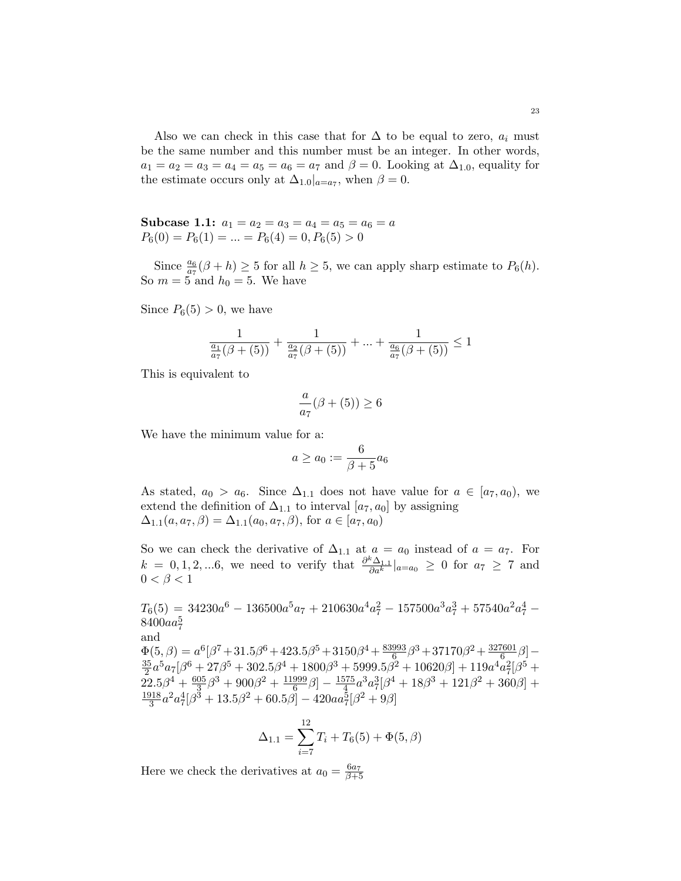Also we can check in this case that for  $\Delta$  to be equal to zero,  $a_i$  must be the same number and this number must be an integer. In other words,  $a_1 = a_2 = a_3 = a_4 = a_5 = a_6 = a_7$  and  $\beta = 0$ . Looking at  $\Delta_{1,0}$ , equality for the estimate occurs only at  $\Delta_{1.0}|_{a=a_7}$ , when  $\beta=0$ .

Subcase 1.1:  $a_1 = a_2 = a_3 = a_4 = a_5 = a_6 = a$  $P_6(0) = P_6(1) = ... = P_6(4) = 0, P_6(5) > 0$ 

Since  $\frac{a_6}{a_7}(\beta + h) \ge 5$  for all  $h \ge 5$ , we can apply sharp estimate to  $P_6(h)$ . So  $m = 5$  and  $h_0 = 5$ . We have

Since  $P_6(5) > 0$ , we have

$$
\frac{1}{\frac{a_1}{a_7}(\beta + (5))} + \frac{1}{\frac{a_2}{a_7}(\beta + (5))} + \dots + \frac{1}{\frac{a_6}{a_7}(\beta + (5))} \le 1
$$

This is equivalent to

$$
\frac{a}{a_7}(\beta + (5)) \ge 6
$$

We have the minimum value for a:

$$
a \ge a_0 := \frac{6}{\beta + 5} a_6
$$

As stated,  $a_0 > a_6$ . Since  $\Delta_{1,1}$  does not have value for  $a \in [a_7, a_0)$ , we extend the definition of  $\Delta_{1,1}$  to interval  $[a_7, a_0]$  by assigning  $\Delta_{1,1}(a, a_7, \beta) = \Delta_{1,1}(a_0, a_7, \beta)$ , for  $a \in [a_7, a_0)$ 

So we can check the derivative of  $\Delta_{1,1}$  at  $a = a_0$  instead of  $a = a_7$ . For  $k = 0, 1, 2, ... 6$ , we need to verify that  $\frac{\partial^k \Delta_{1,1}}{\partial \alpha^k}$  $\frac{d^2\Delta_{1,1}}{da^k}\Big|_{a=a_0} \geq 0$  for  $a_7 \geq 7$  and  $0 < \beta < 1$ 

 $T_6(5) = 34230a^6 - 136500a^5a_7 + 210630a^4a_7^2 - 157500a^3a_7^3 + 57540a^2a_7^4$  $8400aa_7^5$ and  $\Phi(5,\beta) = a^6[\beta^7 + 31.5\beta^6 + 423.5\beta^5 + 3150\beta^4 + \frac{83993}{6}]$  $\frac{993}{6}$  $\beta^3 + 37170\beta^2 + \frac{327601}{6}$  $\frac{601}{6}$  $\beta$ ] — 35  $\frac{35}{2}a^5a_7[\beta^6+27\beta^5+302.5\beta^4+1800\beta^3+5999.5\beta^2+10620\beta]+119a^4a_7^2[\beta^5+$  $22.5\beta^{4}+\frac{605}{3}$  $\frac{05}{3}\beta^3 + 900\beta^2 + \frac{11999}{6}$  $\frac{999}{6}\beta]-\frac{1575}{4}$  $\frac{575}{4}a^3a_7^3[\beta^4+18\beta^3+121\beta^2+360\beta]+$ 1918  $\frac{318}{3}a^2a_7^4[\beta^3 + 13.5\beta^2 + 60.5\beta] - 420aa_7^5[\beta^2 + 9\beta]$ 

$$
\Delta_{1.1} = \sum_{i=7}^{12} T_i + T_6(5) + \Phi(5, \beta)
$$

Here we check the derivatives at  $a_0 = \frac{6a_7}{\beta + 5}$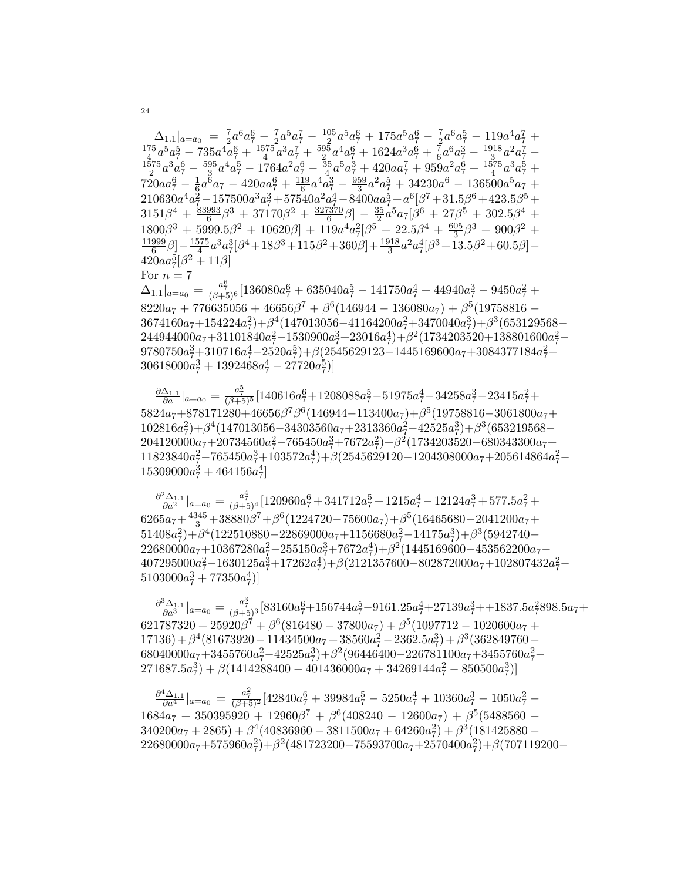$\begin{array}{rll} \Delta_{1.1}|_{a=a_0}&=\frac{7}{2}a^6a^6_7-\frac{7}{2}a^5a^7_7-\frac{105}{2}a^5a^6_7+175a^5a^6_7-\frac{7}{2}a^6a^5_7-119a^4a^7_7+\frac{175}{4}a^5a^5_7-735a^4a^6_7+\frac{1575}{4}a^3a^7_7+\frac{595}{2}a^4a^6_7+1624a^3a^6_7+\frac{7}{6}a^6a^3_7-\frac{1918}{3}a^2a^7_7-\frac{$  $\frac{11999}{6}\beta]-\frac{1575}{4}a^3a_7^3[\beta^4+18\beta^3+115\beta^2+360\beta]+\frac{1918}{3}a^2a_7^4[\beta^3+13.5\beta^2+60.5\beta]-420aa_7^5[\beta^2+11\beta]$ For  $n=7$  $\Delta_{1.1}|_{a=a_0} = \frac{a_7^6}{(\beta+5)^6} [136080a_7^6 + 635040a_7^5 - 141750a_7^4 + 44940a_7^3 - 9450a_7^2 +$ 

 $8220a_7 + 776635056 + 46656\beta^7 + \beta^6(146944 - 136080a_7) + \beta^5(19758816 3674160a_7 + 154224a_7^2 + \beta^4(147013056 - 41164200a_7^2 + 3470040a_7^3) + \beta^3(653129568 244944000a_7 + 31101840a_7^2 - 1530900a_7^3 + 23016a_7^4) + \beta^2(1734203520 + 138801600a_7^2 -$ 9780750 $a_7^3+310716a_7^4-2520a_7^5)+\beta(2545629123-1445169600a_7+3084377184a_7^2 30618000a_7^3 + 1392468a_7^4 - 27720a_7^5$ 

 $\frac{\partial \Delta_{1,1}}{\partial a}|_{a=a_0} = \frac{a_7^5}{(\beta+5)^5} [140616a_7^6 + 1208088a_7^5 - 51975a_7^4 - 34258a_7^3 - 23415a_7^2 +$  $5824a_7 + 878171280 + 46656\beta^7\beta^6(146944 - 113400a_7) + \beta^5(19758816 - 3061800a_7 +$  $102816a_7^2 + \beta^4(147013056 - 34303560a_7 + 2313360a_7^2 - 42525a_7^3) + \beta^3(653219568 204120000a_7 + 20734560a_7^2 - 765450a_7^3 + 7672a_7^2) + \beta^2(1734203520 - 680343300a_7 +$  $11823840a_7^2 - 765450a_7^3 + 103572a_7^4) + \beta(2545629120 - 1204308000a_7 + 205614864a_7^2 15309000a_7^3 + 464156a_7^4$ 

 $\frac{\partial^2 \Delta_{1,1}}{\partial a^2}|_{a=a_0} = \frac{a_7^4}{(\beta+5)^4} [120960a_7^6 + 341712a_7^5 + 1215a_7^4 - 12124a_7^3 + 577.5a_7^2 +$  $6265a_7 + \frac{4345}{3} + 38880\beta^7 + \beta^6(1224720 - 75600a_7) + \beta^5(16465680 - 2041200a_7 +$  $51408a_7^2$ + $\beta^4$ (122510880-22869000a<sub>7</sub>+1156680a<sub>7</sub>-14175a<sub>7</sub><sup>3</sup>)+ $\beta^3$ (5942740- $22680000a_7 + 10367280a_7^2 - 255150a_7^3 + 7672a_7^4) + \beta^2(1445169600 - 453562200a_7 407295000a_7^2-1630125a_7^3+17262a_7^4)+\beta(2121357600-802872000a_7+102807432a_7^2 5103000a_7^3 + 77350a_7^4$ 

 $\frac{\partial^3 \Delta_{1,1}}{\partial a^3}|_{a=a_0} = \frac{a_7^3}{(\beta+5)^3}[83160a_7^6 + 156744a_7^5 - 9161.25a_7^4 + 27139a_7^3 + + 1837.5a_7^2898.5a_7 +$  $621787320 + 25920\beta^7 + \beta^6(816480 - 37800a_7) + \beta^5(1097712 - 1020600a_7 +$  $17136)+\beta^4(81673920-11434500a_7+38560a_7^2-2362.5a_7^3)+\beta^3(362849760 68040000a_7 + 3455760a_7^2 - 42525a_7^3 + \beta^2(96446400 - 226781100a_7 + 3455760a_7^2 (271687.5a_7^3) + \beta(1414288400 - 401436000a_7 + 34269144a_7^2 - 850500a_7^3))$ 

 $\frac{\partial^4 \Delta_{1,1}}{\partial a^4}|_{a=a_0} = \frac{a_7^2}{(\beta+5)^2} [42840a_7^6 + 39984a_7^5 - 5250a_7^4 + 10360a_7^3 - 1050a_7^2 1684a_7 + 350395920 + 12960\beta^7 + \beta^6(408240 - 12600a_7) + \beta^5(5488560 340200a_7 + 2865$  +  $\beta^4$ (40836960 - 3811500 $a_7$  + 64260 $a_7^2$ ) +  $\beta^3$ (181425880 - $22680000a_7 + 575960a_7^2 + \beta^2(481723200 - 75593700a_7 + 2570400a_7^2) + \beta(707119200 -$ 

24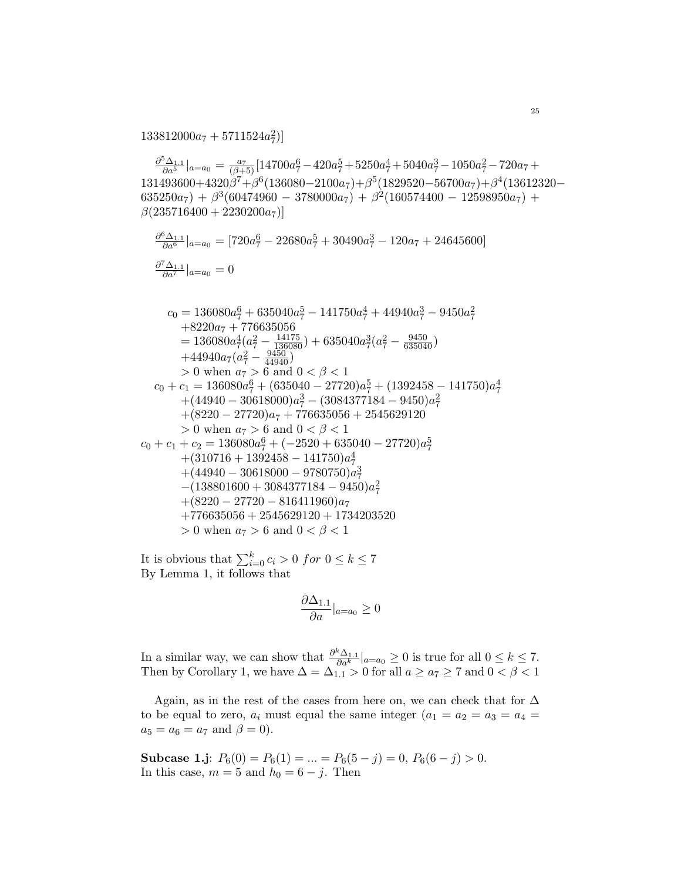$133812000a_7 + 5711524a_7^2$ 

 $\frac{\partial^5 \Delta_{1.1}}{\partial a^5}|_{a=a_0} = \frac{a_7}{(\beta+5)}[14700a_7^6 - 420a_7^5 + 5250a_7^4 + 5040a_7^3 - 1050a_7^2 - 720a_7 +$  $131493600+4320\overset{\circ}{\beta}^{7}+\overset{\circ}{\beta}^{6}(136080-2100a_{7})+\overset{\circ}{\beta}^{5}(1829520-56700a_{7})+\overset{\circ}{\beta}^{4}(13612320 (635250a_7) + \beta^3(60474960 - 3780000a_7) + \beta^2(160574400 - 12598950a_7) +$  $\beta(235716400+2230200a_7)]$ 

$$
\frac{\partial^6 \Delta_{1,1}}{\partial a^6}|_{a=a_0} = [720a_7^6 - 22680a_7^5 + 30490a_7^3 - 120a_7 + 24645600]
$$
  

$$
\frac{\partial^7 \Delta_{1,1}}{\partial a^7}|_{a=a_0} = 0
$$

$$
c_0 = 136080a_7^6 + 635040a_7^5 - 141750a_7^4 + 44940a_7^3 - 9450a_7^2
$$
  
\n
$$
+8220a_7 + 776635056
$$
  
\n
$$
= 136080a_7^4(a_7^2 - \frac{14175}{136080}) + 635040a_7^3(a_7^2 - \frac{9450}{635040})
$$
  
\n
$$
+44940a_7(a_7^2 - \frac{9450}{44940})
$$
  
\n
$$
> 0 \text{ when } a_7 > 6 \text{ and } 0 < \beta < 1
$$
  
\n
$$
c_0 + c_1 = 136080a_7^6 + (635040 - 27720)a_7^5 + (1392458 - 141750)a_7^4
$$
  
\n
$$
+ (44940 - 30618000)a_7^3 - (3084377184 - 9450)a_7^2
$$
  
\n
$$
+ (8220 - 27720)a_7 + 776635056 + 2545629120
$$
  
\n
$$
> 0 \text{ when } a_7 > 6 \text{ and } 0 < \beta < 1
$$
  
\n
$$
c_0 + c_1 + c_2 = 136080a_7^6 + (-2520 + 635040 - 27720)a_7^5
$$
  
\n
$$
+ (310716 + 1392458 - 141750)a_7^4
$$
  
\n
$$
+ (44940 - 30618000 - 9780750)a_7^3
$$
  
\n
$$
- (138801600 + 3084377184 - 9450)a_7^2
$$
  
\n
$$
+ (8220 - 27720 - 816411960)a_7
$$
  
\n+776635056 + 2545629120 + 1734203520  
\n

It is obvious that  $\sum_{i=0}^k c_i > 0$  for  $0 \leq k \leq 7$ By Lemma 1, it follows that

$$
\frac{\partial \Delta_{1.1}}{\partial a}|_{a=a_0} \ge 0
$$

In a similar way, we can show that  $\frac{\partial^k \Delta_{1,1}}{\partial a^k}|_{a=a_0} \geq 0$  is true for all  $0 \leq k \leq 7$ .<br>Then by Corollary 1, we have  $\Delta = \Delta_{1,1} > 0$  for all  $a \geq a_7 \geq 7$  and  $0 < \beta < 1$ 

Again, as in the rest of the cases from here on, we can check that for  $\Delta$ to be equal to zero,  $a_i$  must equal the same integer  $(a_1 = a_2 = a_3 = a_4 = a_4$  $a_5 = a_6 = a_7$  and  $\beta = 0$ ).

**Subcase 1.j**:  $P_6(0) = P_6(1) = ... = P_6(5 - j) = 0, P_6(6 - j) > 0.$ In this case,  $m = 5$  and  $h_0 = 6 - j$ . Then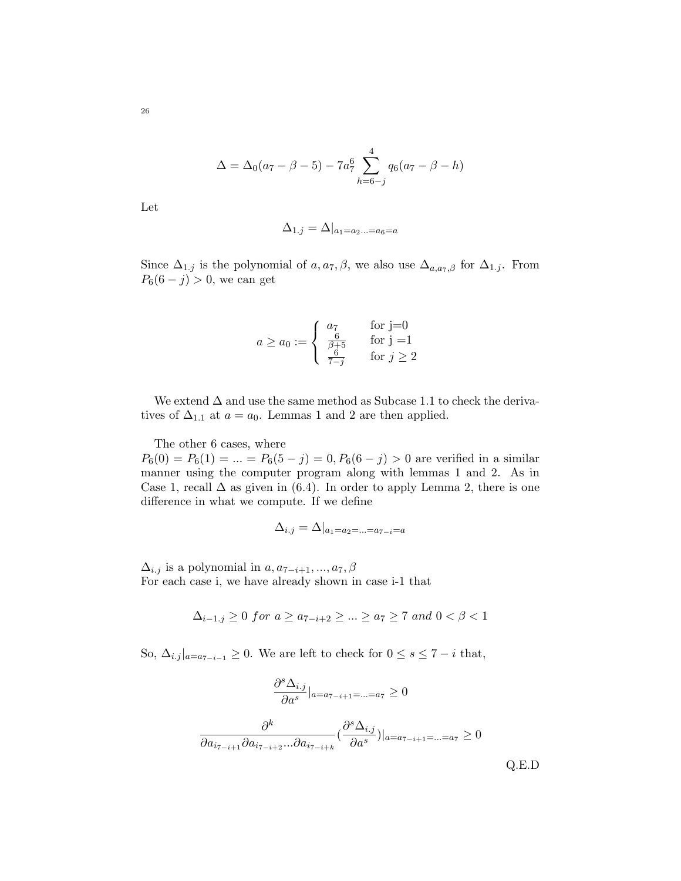$$
\Delta = \Delta_0(a_7 - \beta - 5) - 7a_7^6 \sum_{h=6-j}^{4} q_6(a_7 - \beta - h)
$$

Let

$$
\Delta_{1,j} = \Delta|_{a_1 = a_2... = a_6 = a}
$$

Since  $\Delta_{1,j}$  is the polynomial of  $a, a_7, \beta$ , we also use  $\Delta_{a,a_7,\beta}$  for  $\Delta_{1,j}$ . From  $P_6(6 - j) > 0$ , we can get

$$
a \ge a_0 := \begin{cases} a_7 & \text{for } j = 0\\ \frac{6}{\beta + 5} & \text{for } j = 1\\ \frac{6}{7 - j} & \text{for } j \ge 2 \end{cases}
$$

We extend  $\Delta$  and use the same method as Subcase 1.1 to check the derivatives of  $\Delta_{1,1}$  at  $a = a_0$ . Lemmas 1 and 2 are then applied.

The other 6 cases, where  $P_6(0) = P_6(1) = ... = P_6(5 - j) = 0, P_6(6 - j) > 0$  are verified in a similar manner using the computer program along with lemmas 1 and 2. As in Case 1, recall  $\Delta$  as given in (6.4). In order to apply Lemma 2, there is one difference in what we compute. If we define

$$
\Delta_{i.j} = \Delta|_{a_1 = a_2 = \ldots = a_{7-i} = a}
$$

 $\Delta_{i,j}$  is a polynomial in  $a, a_{7-i+1}, ..., a_7, \beta$ For each case i, we have already shown in case i-1 that

$$
\Delta_{i-1,j} \ge 0 \text{ for } a \ge a_{7-i+2} \ge \dots \ge a_7 \ge 7 \text{ and } 0 < \beta < 1
$$

So,  $\Delta_{i,j}|_{a=a_{7-i-1}} \geq 0$ . We are left to check for  $0 \leq s \leq 7-i$  that,

$$
\frac{\partial^s \Delta_{i,j}}{\partial a^s}|_{a=a_{7-i+1}=\ldots=a_7} \ge 0
$$

$$
\frac{\partial^k}{\partial a_{i_{7-i+1}} \partial a_{i_{7-i+2}} \ldots \partial a_{i_{7-i+k}}} (\frac{\partial^s \Delta_{i,j}}{\partial a^s})|_{a=a_{7-i+1}=\ldots=a_7} \ge 0
$$
Q.E.D

26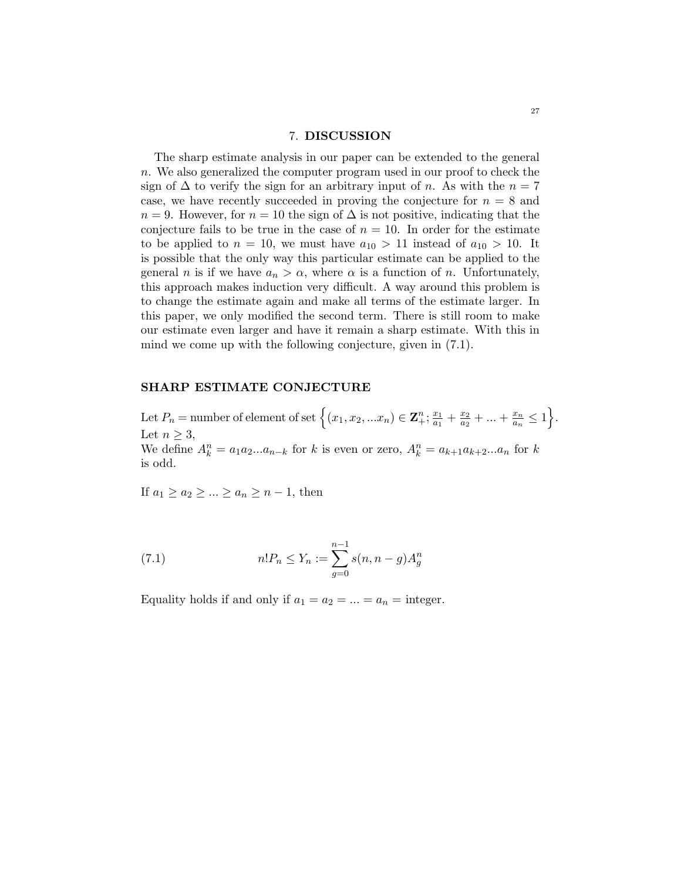#### 7. DISCUSSION

The sharp estimate analysis in our paper can be extended to the general n. We also generalized the computer program used in our proof to check the sign of  $\Delta$  to verify the sign for an arbitrary input of n. As with the  $n = 7$ case, we have recently succeeded in proving the conjecture for  $n = 8$  and  $n = 9$ . However, for  $n = 10$  the sign of  $\Delta$  is not positive, indicating that the conjecture fails to be true in the case of  $n = 10$ . In order for the estimate to be applied to  $n = 10$ , we must have  $a_{10} > 11$  instead of  $a_{10} > 10$ . It is possible that the only way this particular estimate can be applied to the general n is if we have  $a_n > \alpha$ , where  $\alpha$  is a function of n. Unfortunately, this approach makes induction very difficult. A way around this problem is to change the estimate again and make all terms of the estimate larger. In this paper, we only modified the second term. There is still room to make our estimate even larger and have it remain a sharp estimate. With this in mind we come up with the following conjecture, given in (7.1).

## SHARP ESTIMATE CONJECTURE

Let  $P_n =$  number of element of set  $\left\{ (x_1, x_2, ... x_n) \in \mathbb{Z}_+^n; \frac{x_1}{a_1} \right\}$  $\frac{x_1}{a_1} + \frac{x_2}{a_2}$  $\frac{x_2}{a_2} + \ldots + \frac{x_n}{a_n}$  $\frac{x_n}{a_n} \leq 1$ . Let  $n \geq 3$ , We define  $A_k^n = a_1 a_2 ... a_{n-k}$  for k is even or zero,  $A_k^n = a_{k+1} a_{k+2} ... a_n$  for k is odd.

If  $a_1 \geq a_2 \geq \ldots \geq a_n \geq n-1$ , then

(7.1) 
$$
n!P_n \le Y_n := \sum_{g=0}^{n-1} s(n, n-g)A_g^n
$$

Equality holds if and only if  $a_1 = a_2 = ... = a_n =$  integer.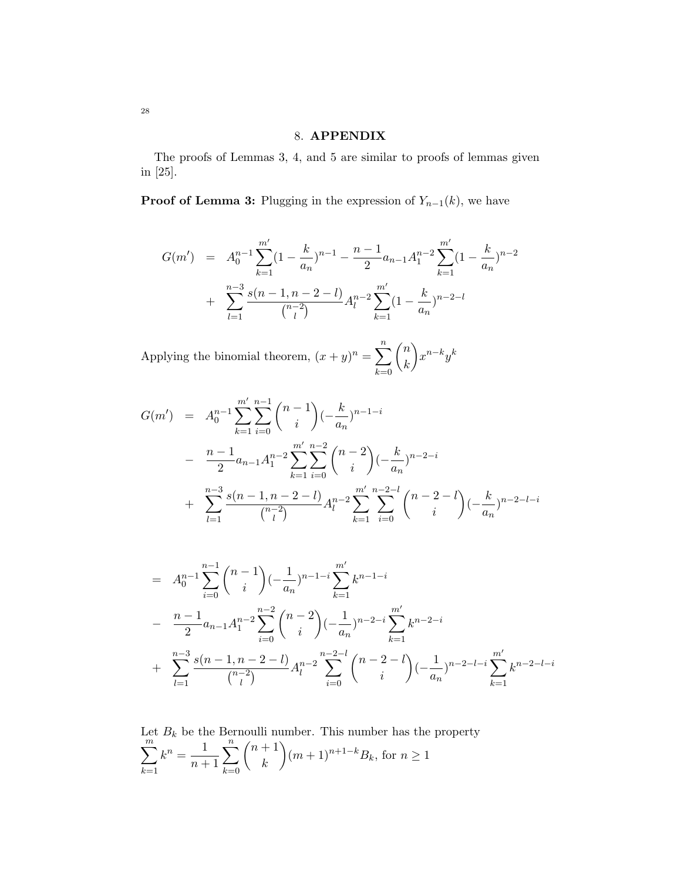# 8. APPENDIX

The proofs of Lemmas 3, 4, and 5 are similar to proofs of lemmas given in [25].

**Proof of Lemma 3:** Plugging in the expression of  $Y_{n-1}(k)$ , we have

$$
G(m') = A_0^{n-1} \sum_{k=1}^{m'} (1 - \frac{k}{a_n})^{n-1} - \frac{n-1}{2} a_{n-1} A_1^{n-2} \sum_{k=1}^{m'} (1 - \frac{k}{a_n})^{n-2} + \sum_{l=1}^{n-3} \frac{s(n-1, n-2-l)}{\binom{n-2}{l}} A_l^{n-2} \sum_{k=1}^{m'} (1 - \frac{k}{a_n})^{n-2-l}
$$

Applying the binomial theorem,  $(x+y)^n = \sum_{n=1}^{\infty}$  $_{k=0}$  $\sqrt{n}$ k  $\bigg\}x^{n-k}y^k$ 

$$
G(m') = A_0^{n-1} \sum_{k=1}^{m'} \sum_{i=0}^{n-1} {n-1 \choose i} \left(-\frac{k}{a_n}\right)^{n-1-i}
$$
  
- 
$$
\frac{n-1}{2} a_{n-1} A_1^{n-2} \sum_{k=1}^{m'} \sum_{i=0}^{n-2} {n-2 \choose i} \left(-\frac{k}{a_n}\right)^{n-2-i}
$$
  
+ 
$$
\sum_{l=1}^{n-3} \frac{s(n-1, n-2-l)}{{n-2 \choose l}} A_l^{n-2} \sum_{k=1}^{m'} \sum_{i=0}^{n-2-l} {n-2-l \choose i} \left(-\frac{k}{a_n}\right)^{n-2-l-i}
$$

$$
= A_0^{n-1} \sum_{i=0}^{n-1} {n-1 \choose i} (-\frac{1}{a_n})^{n-1-i} \sum_{k=1}^{m'} k^{n-1-i}
$$
  

$$
- \frac{n-1}{2} a_{n-1} A_1^{n-2} \sum_{i=0}^{n-2} {n-2 \choose i} (-\frac{1}{a_n})^{n-2-i} \sum_{k=1}^{m'} k^{n-2-i}
$$
  

$$
+ \sum_{l=1}^{n-3} \frac{s(n-1, n-2-l)}{{n-2 \choose l}} A_l^{n-2} \sum_{i=0}^{n-2-l} {n-2-l \choose i} (-\frac{1}{a_n})^{n-2-l-i} \sum_{k=1}^{m'} k^{n-2-l-i}
$$

Let 
$$
B_k
$$
 be the Bernoulli number. This number has the property  
\n
$$
\sum_{k=1}^{m} k^n = \frac{1}{n+1} \sum_{k=0}^{n} {n+1 \choose k} (m+1)^{n+1-k} B_k
$$
, for  $n \ge 1$ 

28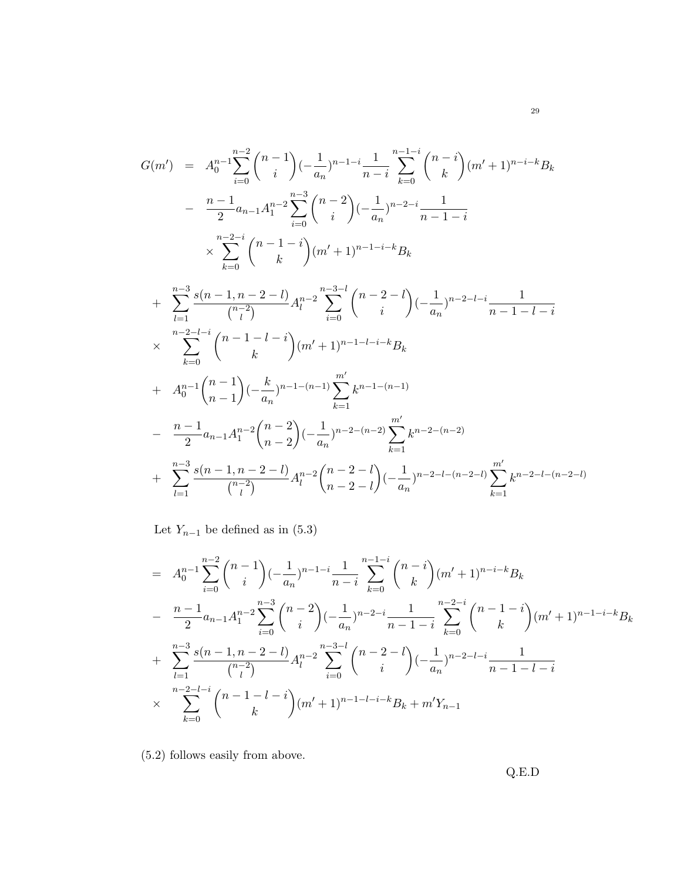$$
G(m') = A_0^{n-1} \sum_{i=0}^{n-2} {n-1 \choose i} \left(-\frac{1}{a_n}\right)^{n-1-i} \frac{1}{n-i} \sum_{k=0}^{n-1-i} {n-i \choose k} (m'+1)^{n-i-k} B_k
$$
  
\n
$$
- \frac{n-1}{2} a_{n-1} A_1^{n-2} \sum_{i=0}^{n-3} {n-2 \choose i} \left(-\frac{1}{a_n}\right)^{n-2-i} \frac{1}{n-1-i}
$$
  
\n
$$
\times \sum_{k=0}^{n-2-i} {n-1-i \choose k} (m'+1)^{n-1-i-k} B_k
$$
  
\n
$$
+ \sum_{l=1}^{n-3} \frac{s(n-1, n-2-l)}{{n-2 \choose l}} A_l^{n-2} \sum_{i=0}^{n-3-l} {n-2-l \choose i} \left(-\frac{1}{a_n}\right)^{n-2-l-i} \frac{1}{n-1-l-i}
$$
  
\n
$$
\times \sum_{k=0}^{n-2-l-i} {n-1 \choose k} (m'+1)^{n-1-l-i-k} B_k
$$
  
\n
$$
+ A_0^{n-1} {n-1 \choose n-1} \left(-\frac{k}{a_n}\right)^{n-1-(n-1)} \sum_{k=1}^{m'} k^{n-1-(n-1)}
$$
  
\n
$$
- \frac{n-1}{2} a_{n-1} A_1^{n-2} {n-2 \choose n-2} \left(-\frac{1}{a_n}\right)^{n-2-(n-2)} \sum_{k=1}^{m'} k^{n-2-(n-2)}
$$
  
\n
$$
+ \sum_{l=1}^{n-3} \frac{s(n-1, n-2-l)}{{n-2 \choose l}} A_l^{n-2} {n-2-l \choose n-2-l} \left(-\frac{1}{a_n}\right)^{n-2-l-(n-2-l)} \sum_{k=1}^{m'} k^{n-2-l-(n-2-l}
$$

Let  $Y_{n-1}$  be defined as in (5.3)

$$
= A_0^{n-1} \sum_{i=0}^{n-2} {n-1 \choose i} \left(-\frac{1}{a_n}\right)^{n-1-i} \frac{1}{n-i} \sum_{k=0}^{n-1-i} {n-i \choose k} (m'+1)^{n-i-k} B_k
$$
  

$$
- \frac{n-1}{2} a_{n-1} A_1^{n-2} \sum_{i=0}^{n-3} {n-2 \choose i} \left(-\frac{1}{a_n}\right)^{n-2-i} \frac{1}{n-1-i} \sum_{k=0}^{n-2-i} {n-1-i \choose k} (m'+1)^{n-1-i-k} B_k
$$
  

$$
+ \sum_{l=1}^{n-3} \frac{s(n-1, n-2-l)}{{n-2 \choose l}} A_l^{n-2} \sum_{i=0}^{n-3-l} {n-2-l \choose i} \left(-\frac{1}{a_n}\right)^{n-2-l-i} \frac{1}{n-1-l-i}
$$
  

$$
\times \sum_{k=0}^{n-2-l-i} {n-1-l-i \choose k} (m'+1)^{n-1-l-i-k} B_k + m' Y_{n-1}
$$

(5.2) follows easily from above.

Q.E.D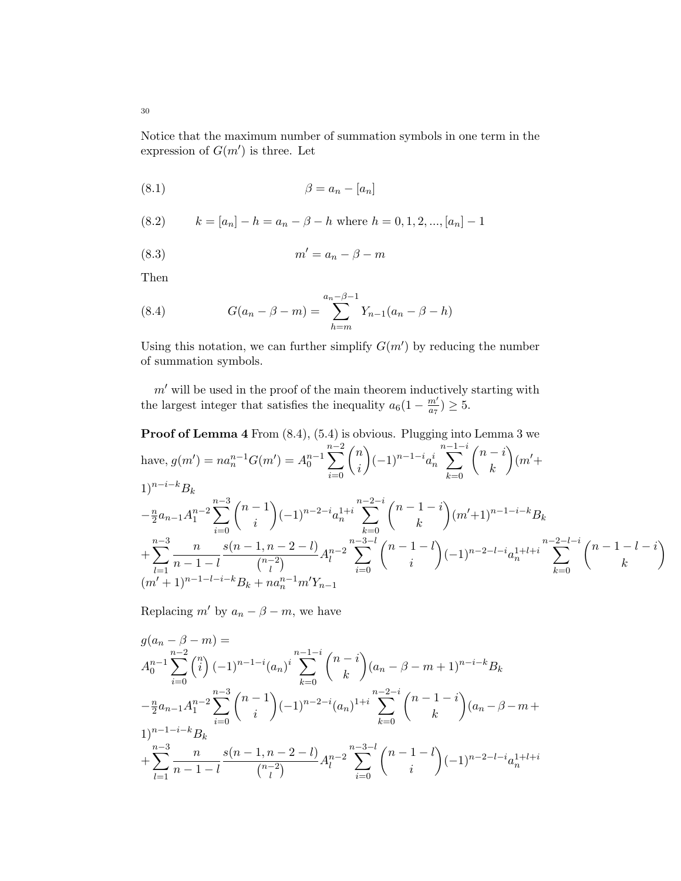Notice that the maximum number of summation symbols in one term in the expression of  $G(m')$  is three. Let

$$
\beta = a_n - [a_n]
$$

(8.2) 
$$
k = [a_n] - h = a_n - \beta - h \text{ where } h = 0, 1, 2, ..., [a_n] - 1
$$

$$
(8.3) \t\t m' = a_n - \beta - m
$$

Then

(8.4) 
$$
G(a_n - \beta - m) = \sum_{h=m}^{a_n - \beta - 1} Y_{n-1}(a_n - \beta - h)
$$

Using this notation, we can further simplify  $G(m')$  by reducing the number of summation symbols.

 $m'$  will be used in the proof of the main theorem inductively starting with the largest integer that satisfies the inequality  $a_6(1 - \frac{m'}{a_7})$  $\frac{m'}{a_7}) \geq 5.$ 

Proof of Lemma 4 From (8.4), (5.4) is obvious. Plugging into Lemma 3 we have,  $g(m') = na_n^{n-1}G(m') = A_0^{n-1}$  $\sum^{n-2}$  $i=0$  $\sqrt{n}$ i  $(-1)^{n-1-i}a_n^i$  $\sum^{n-1-i}$  $_{k=0}$  $\sqrt{n-i}$ k  $\Big)$ (m'+  $1)^{n-i-k}B_k$  $-\frac{n}{2}$  $\frac{n}{2}a_{n-1}A_1^{n-2}$  $\sum^{n-3}$  $i=0$  $(n-1)$ i  $(-1)^{n-2-i}a_n^{1+i}$  $\sum^{n-2-i}$  $_{k=0}$  $(n - 1 - i)$ k  $(m'+1)^{n-1-i-k}B_k$  $+$  $\sum_{n=3}^{n-3}$  n  $\binom{l-1}{m'+1}^{n-1-l-i-k} B_k + n a_n^{n-1} m' Y_{n-1}$  $n-1-l$  $s(n-1, n-2-l)$  $\binom{n-2}{1}$  $\frac{(l-2-l)}{l}A_l^{n-2}$ l  $\sum_{n=3-l}^{n-3-l}$  $i=0$  $(n-1-l)$ i  $(-1)^{n-2-l-i}a_n^{1+l+i}$ n− $\sum$  $2-l-i$  $_{k=0}$  $(n-1-l-i)$ k  $\setminus$ 

Replacing m' by  $a_n - \beta - m$ , we have

$$
g(a_n - \beta - m) =
$$
  
\n
$$
A_0^{n-1} \sum_{i=0}^{n-2} {n \choose i} (-1)^{n-1-i} (a_n)^i \sum_{k=0}^{n-1-i} {n-i \choose k} (a_n - \beta - m + 1)^{n-i-k} B_k
$$
  
\n
$$
- \frac{n}{2} a_{n-1} A_1^{n-2} \sum_{i=0}^{n-3} {n-1 \choose i} (-1)^{n-2-i} (a_n)^{1+i} \sum_{k=0}^{n-2-i} {n-1-i \choose k} (a_n - \beta - m + 1)^{n-1-i-k} B_k
$$
  
\n
$$
+ \sum_{l=1}^{n-3} \frac{n}{n-1-l} \frac{s(n-1, n-2-l)}{{n-2 \choose l}} A_l^{n-2} \sum_{i=0}^{n-3-l} {n-1-l \choose i} (-1)^{n-2-l-i} a_n^{1+l+i}
$$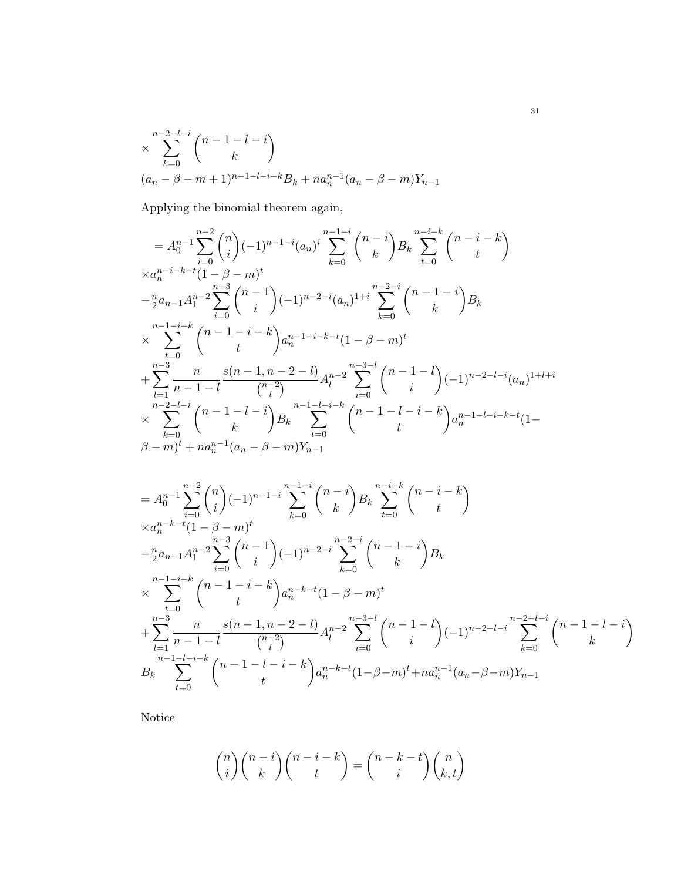$$
\times \sum_{k=0}^{n-2-l-i} \binom{n-1-l-i}{k}
$$
  

$$
(a_n - \beta - m + 1)^{n-1-l-i-k} B_k + n a_n^{n-1} (a_n - \beta - m) Y_{n-1}
$$

Applying the binomial theorem again,

$$
= A_0^{n-1} \sum_{i=0}^{n-2} {n \choose i} (-1)^{n-1-i} (a_n)^i \sum_{k=0}^{n-1-i} {n-i-k \choose k} B_k \sum_{t=0}^{n-i-k} {n-i-k \choose t} \times a_n^{n-i-k-t} (1-\beta-m)^t \n- \frac{n}{2} a_{n-1} A_1^{n-2} \sum_{i=0}^{n-3} {n-1 \choose i} (-1)^{n-2-i} (a_n)^{n-i} \sum_{k=0}^{n-2-i} {n-1-i \choose k} B_k \times \sum_{t=0}^{n-1-i-k} {n-1-i-k \choose t} a_n^{n-1-i-k-t} (1-\beta-m)^t \n+ \sum_{l=1}^{n-3} \frac{n}{n-1-l} \frac{s(n-1, n-2-l)}{{n-2 \choose l}} A_l^{n-2} \sum_{i=0}^{n-3-l} {n-1 \choose i} (-1)^{n-2-l-i} (a_n)^{1+l+i} \times \sum_{k=0}^{n-2-l-i} {n-1-l-i-k \choose k} B_k \sum_{t=0}^{n-1-l-i-k} {n-1-l-i-k \choose t} a_n^{n-1-l-i-k-t} (1-\beta-m)^t + na_n^{n-1} (a_n - \beta - m) Y_{n-1}
$$

$$
= A_0^{n-1} \sum_{i=0}^{n-2} {n \choose i} (-1)^{n-1-i} \sum_{k=0}^{n-1-i} {n-i-k \choose k} B_k \sum_{t=0}^{n-i-k} {n-i-k \choose t}
$$
  
\n
$$
\times a_n^{n-k-t} (1 - \beta - m)^t
$$
  
\n
$$
- \frac{n}{2} a_{n-1} A_1^{n-2} \sum_{i=0}^{n-3} {n-1 \choose i} (-1)^{n-2-i} \sum_{k=0}^{n-2-i} {n-1-i \choose k} B_k
$$
  
\n
$$
\times \sum_{t=0}^{n-1-i-k} {n-1-i-k \choose t} a_n^{n-k-t} (1 - \beta - m)^t
$$
  
\n
$$
+ \sum_{l=1}^{n-3} \frac{n}{n-1-l} \frac{s(n-1, n-2-l)}{{n-2 \choose l}} A_l^{n-2} \sum_{i=0}^{n-3-l} {n-1-l \choose i} (-1)^{n-2-l-i} \sum_{k=0}^{n-2-l-i} {n-1-l-i-k \choose k}
$$
  
\n
$$
B_k \sum_{t=0}^{n-1-l-i-k} {n-1-l-i-k \choose t} a_n^{n-k-t} (1 - \beta - m)^t + na_n^{n-1} (a_n - \beta - m) Y_{n-1}
$$

Notice

$$
\binom{n}{i}\binom{n-i}{k}\binom{n-i-k}{t} = \binom{n-k-t}{i}\binom{n}{k,t}
$$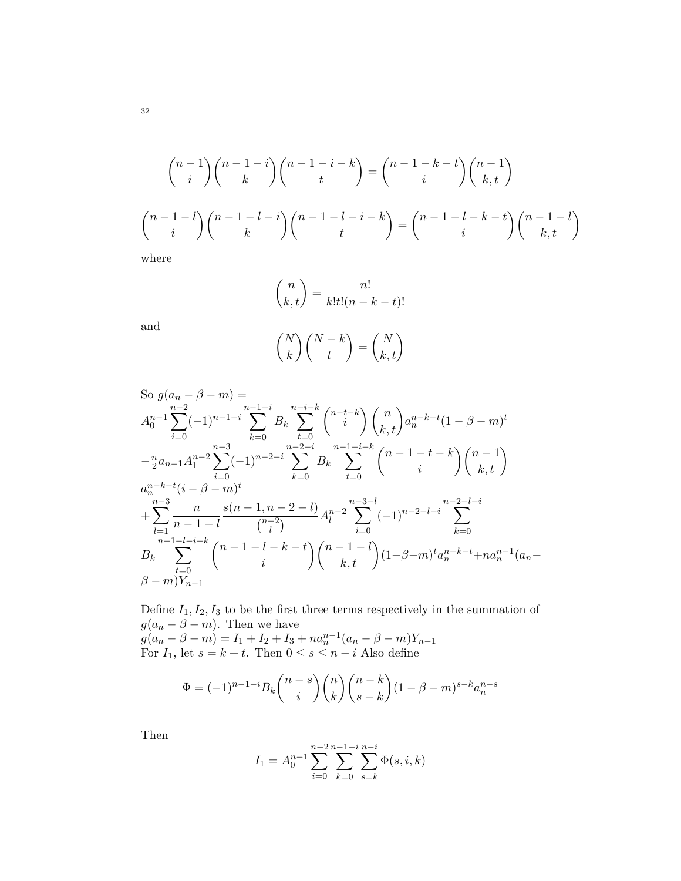$$
\binom{n-1}{i}\binom{n-1-i}{k}\binom{n-1-i-k}{t} = \binom{n-1-k-t}{i}\binom{n-1}{k,t}
$$
\n
$$
\binom{n-1-l}{i}\binom{n-1-l-i}{k}\binom{n-1-l-i-k}{t} = \binom{n-1-l-k-t}{i}\binom{n-1-l}{k,t}
$$
\nwhere

where

and

$$
\binom{n}{k,t} = \frac{n!}{k!t!(n-k-t)!}
$$

$$
\binom{N}{k} \binom{N-k}{t} = \binom{N}{k,t}
$$

So 
$$
g(a_n - \beta - m) =
$$
  
\n
$$
A_0^{n-1} \sum_{i=0}^{n-2} (-1)^{n-1-i} \sum_{k=0}^{n-1-i} B_k \sum_{t=0}^{n-i-k} {n-t-k \choose i} {n \choose k,t} a_n^{n-k-t} (1 - \beta - m)^t
$$
\n
$$
- \frac{n}{2} a_{n-1} A_1^{n-2} \sum_{i=0}^{n-3} (-1)^{n-2-i} \sum_{k=0}^{n-2-i} B_k \sum_{t=0}^{n-1-i-k} {n-1-t-k \choose i} {n-1 \choose k,t}
$$
\n
$$
a_n^{n-k-t} (i - \beta - m)^t
$$
\n
$$
+ \sum_{l=1}^{n-3} \frac{n}{n-1-l} \frac{s(n-1, n-2-l)}{{n-2 \choose l}} A_l^{n-2} \sum_{i=0}^{n-3-l} (-1)^{n-2-l-i} \sum_{k=0}^{n-2-l-i}
$$
\n
$$
B_k \sum_{t=0}^{n-1-l-i-k} {n-1-l-k-t \choose i} {n-1-l \choose k,t} (1 - \beta - m)^t a_n^{n-k-t} + na_n^{n-1} (a_n - \beta - m)Y_{n-1}
$$

Define  $I_1, I_2, I_3$  to be the first three terms respectively in the summation of  $g(a_n - \beta - m)$ . Then we have  $g(a_n - \beta - m) = I_1 + I_2 + I_3 + n a_n^{n-1} (a_n - \beta - m) Y_{n-1}$ For  $I_1$ , let  $s = k + t$ . Then  $0 \le s \le n - i$  Also define

$$
\Phi = (-1)^{n-1-i} B_k \binom{n-s}{i} \binom{n}{k} \binom{n-k}{s-k} (1 - \beta - m)^{s-k} a_n^{n-s}
$$

Then

$$
I_1 = A_0^{n-1} \sum_{i=0}^{n-2} \sum_{k=0}^{n-1-i} \sum_{s=k}^{n-i} \Phi(s, i, k)
$$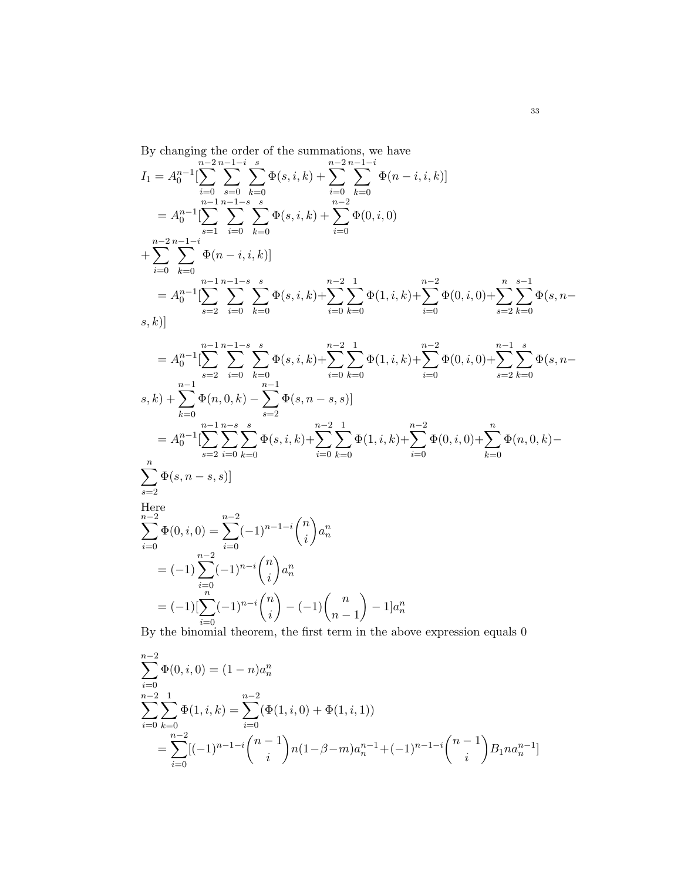By changing the order of the summations, we have

$$
I_{1} = A_{0}^{n-1} \left[ \sum_{i=0}^{n-2} \sum_{s=0}^{n-1-i} \sum_{k=0}^{s} \Phi(s, i, k) + \sum_{i=0}^{n-2} \sum_{k=0}^{n-1-i} \Phi(n-i, i, k) \right]
$$
  
\n
$$
= A_{0}^{n-1} \left[ \sum_{s=1}^{n-1} \sum_{i=0}^{n-1-s} \sum_{k=0}^{s} \Phi(s, i, k) + \sum_{i=0}^{n-2} \Phi(0, i, 0) + \sum_{i=0}^{n-2} \sum_{k=0}^{n-1-i} \Phi(n-i, i, k) \right]
$$
  
\n
$$
= A_{0}^{n-1} \left[ \sum_{s=2}^{n-1} \sum_{i=0}^{n-1} \sum_{k=0}^{n-1-s} \sum_{k=0}^{s} \Phi(s, i, k) + \sum_{i=0}^{n-2} \sum_{k=0}^{1} \Phi(1, i, k) + \sum_{i=0}^{n-2} \Phi(0, i, 0) + \sum_{s=2}^{n} \sum_{k=0}^{s-1} \Phi(s, n-s) \right]
$$

$$
= A_0^{n-1} \left[ \sum_{s=2}^{n-1} \sum_{i=0}^{n-1-s} \sum_{k=0}^{s} \Phi(s, i, k) + \sum_{i=0}^{n-2} \sum_{k=0}^{1} \Phi(1, i, k) + \sum_{i=0}^{n-2} \Phi(0, i, 0) + \sum_{s=2}^{n-1} \sum_{k=0}^{s} \Phi(s, n-s) \right]
$$
  
\n
$$
= A_0^{n-1} \left[ \sum_{s=2}^{n-1} \sum_{i=0}^{n-1} \sum_{k=0}^{n-s} \Phi(s, i, k) + \sum_{i=0}^{n-2} \sum_{k=0}^{1} \Phi(1, i, k) + \sum_{i=0}^{n-2} \Phi(0, i, 0) + \sum_{k=0}^{n} \Phi(n, 0, k) - \sum_{s=2}^{n} \Phi(s, n-s, s) \right]
$$
  
\nHere  
\n
$$
\sum_{i=0}^{n} \Phi(s, n-s, s)
$$
  
\nHere  
\n
$$
\sum_{i=0}^{n-2} \Phi(0, i, 0) = \sum_{i=0}^{n-2} (-1)^{n-1-i} {n \choose i} a_n^n
$$
  
\n
$$
= (-1) \sum_{i=0}^{n-2} (-1)^{n-i} {n \choose i} - (-1) {n \choose n-1} - 1 a_n^n
$$
  
\n
$$
= (-1) [\sum_{i=0}^{n} (-1)^{n-i} {n \choose i} - (-1) {n \choose n-1} - 1] a_n^n
$$

By the binomial theorem, the first term in the above expression equals 0

$$
\sum_{i=0}^{n-2} \Phi(0, i, 0) = (1 - n)a_n^n
$$
\n
$$
\sum_{i=0}^{n-2} \sum_{k=0}^{1} \Phi(1, i, k) = \sum_{i=0}^{n-2} (\Phi(1, i, 0) + \Phi(1, i, 1))
$$
\n
$$
= \sum_{i=0}^{n-2} [(-1)^{n-1-i} \binom{n-1}{i} n(1-\beta-m)a_n^{n-1} + (-1)^{n-1-i} \binom{n-1}{i} B_1 n a_n^{n-1}]
$$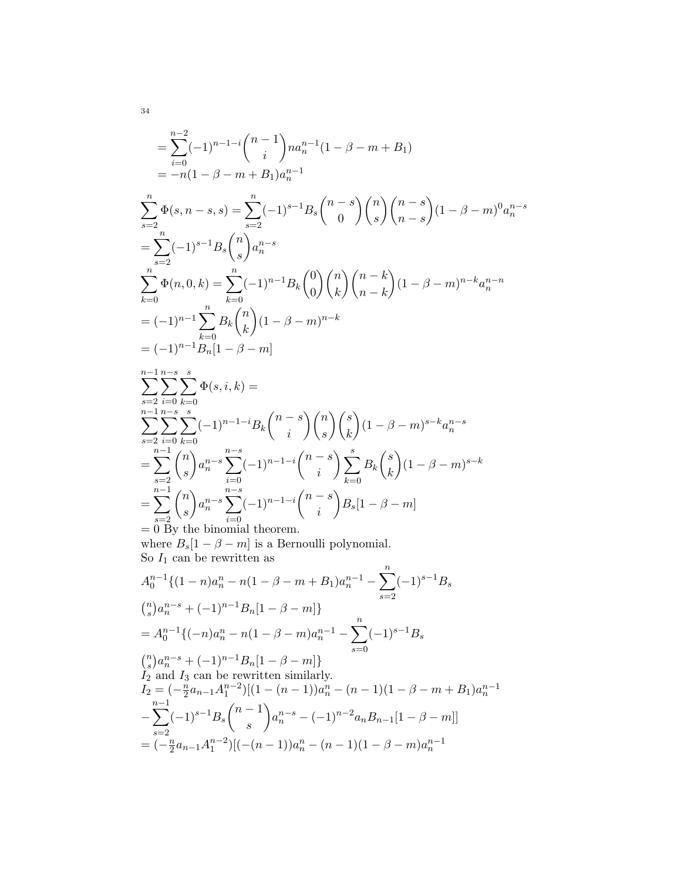$$
\begin{split}\n&= \sum_{i=0}^{n-2} (-1)^{n-1-i} \binom{n-1}{i} na_n^{n-1} (1 - \beta - m + B_1) \\
&= -n(1 - \beta - m + B_1) a_n^{n-1} \\
&= \sum_{s=2}^{n} \Phi(s, n-s, s) = \sum_{s=2}^{n} (-1)^{s-1} B_s \binom{n-s}{0} \binom{n}{s} \binom{n-s}{n-s} (1 - \beta - m)^0 a_n^{n-s} \\
&= \sum_{s=2}^{n} (-1)^{s-1} B_s \binom{n}{s} a_n^{n-s} \\
&= \sum_{k=0}^{n} \Phi(n, 0, k) = \sum_{k=0}^{n} (-1)^{n-1} B_k \binom{0}{0} \binom{n}{k} \binom{n-k}{n-k} (1 - \beta - m)^{n-k} a_n^{n-n} \\
&= (-1)^{n-1} \sum_{k=0}^{n} B_k \binom{n}{k} (1 - \beta - m)^{n-k} \\
&= (-1)^{n-1} B_n [1 - \beta - m] \\
&= \sum_{s=2}^{n-1} \sum_{i=0}^{n-s} \Phi(s, i, k) = \\
&= \sum_{s=2}^{n-1} \sum_{k=0}^{n-s} (-1)^{n-1-i} B_k \binom{n-s}{i} \binom{n}{s} \binom{s}{k} (1 - \beta - m)^{s-k} a_n^{n-s} \\
&= \sum_{s=2}^{n-1} \binom{n}{s} a_n^{n-s} \sum_{i=0}^{n-s} (-1)^{n-1-i} \binom{n-s}{i} \sum_{k=0}^{s} B_k \binom{s}{k} (1 - \beta - m)^{s-k} \\
&= \sum_{s=2}^{n-1} \binom{n}{s} a_n^{n-s} \sum_{i=0}^{n-s} (-1)^{n-1-i} \binom{n-s}{i} B_s [1 - \beta - m]\n\end{split}
$$

 $i=0$ = 0 By the binomial theorem. where  $B_s[1-\beta-m]$  is a Bernoulli polynomial. So  $I_1$  can be rewritten as

$$
A_0^{n-1}\{(1-n)a_n^n - n(1-\beta-m+B_1)a_n^{n-1} - \sum_{s=2}^n (-1)^{s-1}B_s
$$
  
\n
$$
\binom{n}{s}a_n^{n-s} + (-1)^{n-1}B_n[1-\beta-m]\}
$$
  
\n
$$
= A_0^{n-1}\{(-n)a_n^n - n(1-\beta-m)a_n^{n-1} - \sum_{s=0}^n (-1)^{s-1}B_s
$$
  
\n
$$
\binom{n}{s}a_n^{n-s} + (-1)^{n-1}B_n[1-\beta-m]\}
$$
  
\n
$$
I_2 \text{ and } I_3 \text{ can be rewritten similarly.}
$$

$$
I_2 = \frac{n}{2} a_{n-1} A_1^{n-2} \left[ (1 - (n-1)) a_n^n - (n-1)(1 - \beta - m + B_1) a_n^{n-1} \right]
$$
  

$$
- \sum_{s=2}^{n-1} (-1)^{s-1} B_s {n-1 \choose s} a_n^{n-s} - (-1)^{n-2} a_n B_{n-1} [1 - \beta - m] \right]
$$
  

$$
= (-\frac{n}{2} a_{n-1} A_1^{n-2}) [(-(n-1)) a_n^n - (n-1)(1 - \beta - m) a_n^{n-1}]
$$

34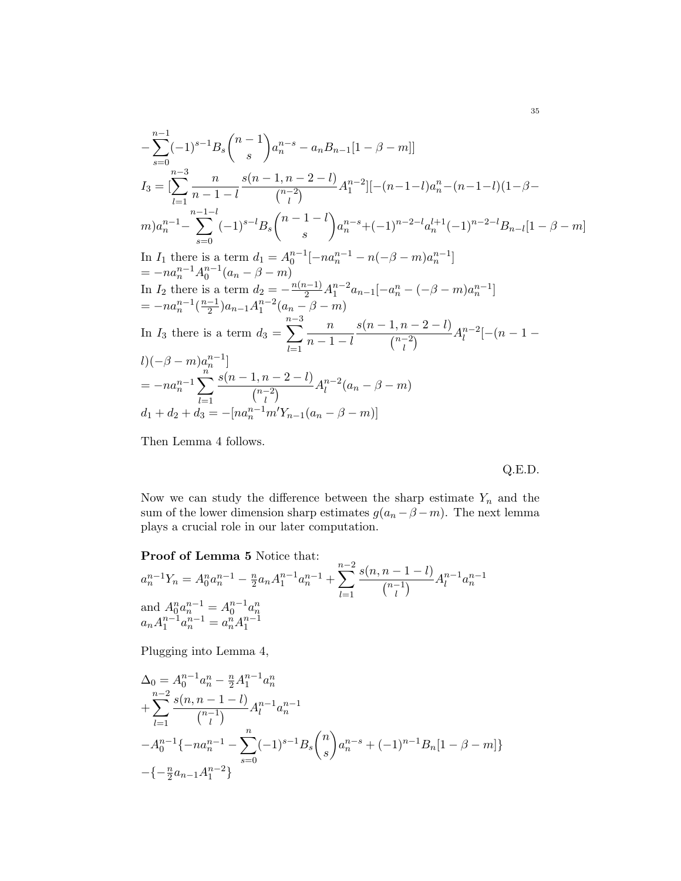$$
-\sum_{s=0}^{n-1}(-1)^{s-1}B_s\binom{n-1}{s}a_n^{n-s} - a_nB_{n-1}[1-\beta-m]]
$$
  
\n
$$
I_3 = \left[\sum_{l=1}^{n-3} \frac{n}{n-1-l} \frac{s(n-1, n-2-l)}{\binom{n-2}{l}} A_1^{n-2}\right] [-(n-1-l)a_n^{n} - (n-1-l)(1-\beta-1)
$$
  
\n
$$
m)a_n^{n-1} - \sum_{s=0}^{n-1-l}(-1)^{s-l}B_s\binom{n-1-l}{s}a_n^{n-s} + (-1)^{n-2-l}a_n^{l+1}(-1)^{n-2-l}B_{n-l}[1-\beta-m]
$$
  
\nIn  $I_1$  there is a term  $d_1 = A_0^{n-1}[-na_n^{n-1} - n(-\beta - m)a_n^{n-1}]$   
\n
$$
= -na_n^{n-1}A_0^{n-1}(a_n - \beta - m)
$$
  
\nIn  $I_2$  there is a term  $d_2 = -\frac{n(n-1)}{2}A_1^{n-2}a_{n-1}[-a_n^{n} - (-\beta - m)a_n^{n-1}]$   
\n
$$
= -na_n^{n-1}(\frac{n-1}{2})a_{n-1}A_1^{n-2}(a_n - \beta - m)
$$
  
\nIn  $I_3$  there is a term  $d_3 = \sum_{l=1}^{n-3} \frac{n}{n-1-l} \frac{s(n-1, n-2-l)}{\binom{n-2}{l}} A_l^{n-2}[-(n-1-1)]$   
\n
$$
= -na_n^{n-1} \sum_{l=1}^{n} \frac{s(n-1, n-2-l)}{\binom{n-2}{l}} A_l^{n-2}(a_n - \beta - m)
$$
  
\n
$$
d_1 + d_2 + d_3 = -[na_n^{n-1}m'Y_{n-1}(a_n - \beta - m)]
$$

Then Lemma 4 follows.

Q.E.D.

Now we can study the difference between the sharp estimate  $Y_n$  and the sum of the lower dimension sharp estimates  $g(a_n - \beta - m)$ . The next lemma plays a crucial role in our later computation.

Proof of Lemma 5 Notice that:

$$
a_n^{n-1}Y_n = A_0^n a_n^{n-1} - \frac{n}{2} a_n A_1^{n-1} a_n^{n-1} + \sum_{l=1}^{n-2} \frac{s(n, n-1-l)}{\binom{n-1}{l}} A_l^{n-1} a_n^{n-1}
$$
  
and 
$$
A_0^n a_n^{n-1} = A_0^{n-1} a_n^n
$$

$$
a_n A_1^{n-1} a_n^{n-1} = a_n^n A_1^{n-1}
$$

Plugging into Lemma 4,

$$
\Delta_0 = A_0^{n-1} a_n^n - \frac{n}{2} A_1^{n-1} a_n^n
$$
  
+ 
$$
\sum_{l=1}^{n-2} \frac{s(n, n-1-l)}{\binom{n-1}{l}} A_l^{n-1} a_n^{n-1}
$$
  
- 
$$
A_0^{n-1} \{-n a_n^{n-1} - \sum_{s=0}^n (-1)^{s-1} B_s \binom{n}{s} a_n^{n-s} + (-1)^{n-1} B_n [1 - \beta - m] \}
$$
  
- 
$$
\{-\frac{n}{2} a_{n-1} A_1^{n-2}\}
$$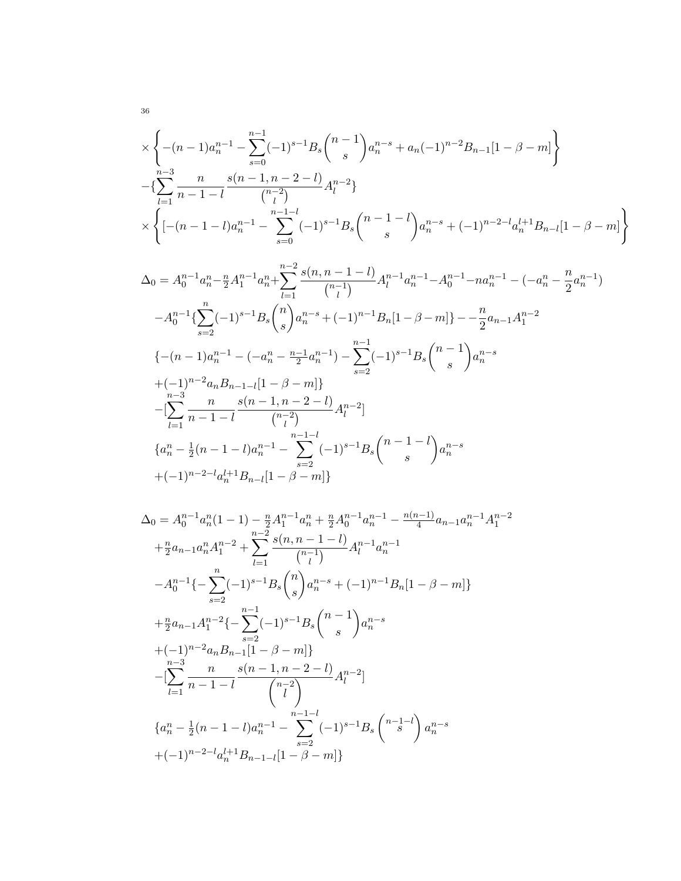$$
\times \left\{ -(n-1)a_n^{n-1} - \sum_{s=0}^{n-1} (-1)^{s-1} B_s {n-1 \choose s} a_n^{n-s} + a_n (-1)^{n-2} B_{n-1} [1 - \beta - m] \right\}
$$
  
 
$$
- \left\{ \sum_{l=1}^{n-3} \frac{n}{n-1-l} \frac{s(n-1, n-2-l)}{{n-2 \choose l}} A_l^{n-2} \right\}
$$
  
 
$$
\times \left\{ \left[ -(n-1-l)a_n^{n-1} - \sum_{s=0}^{n-1-l} (-1)^{s-1} B_s {n-1-l \choose s} a_n^{n-s} + (-1)^{n-2-l} a_n^{l+1} B_{n-l} [1 - \beta - m] \right\}
$$

$$
\begin{split} \Delta_{0}&=A_{0}^{n-1}a_{n}^{n}-\tfrac{n}{2}A_{1}^{n-1}a_{n}^{n}+\sum_{l=1}^{n-2}\frac{s(n,n-1-l)}{\binom{n-1}{l}}A_{l}^{n-1}a_{n}^{n-1}-A_{0}^{n-1}-na_{n}^{n-1}-(-a_{n}^{n}-\tfrac{n}{2}a_{n}^{n-1})\\&\quad -A_{0}^{n-1}\{\sum_{s=2}^{n}(-1)^{s-1}B_{s}\binom{n}{s}a_{n}^{n-s}+(-1)^{n-1}B_{n}[1-\beta-m]\}-\frac{n}{2}a_{n-1}A_{1}^{n-2}\\&\{-(n-1)a_{n}^{n-1}-(-a_{n}^{n}-\tfrac{n-1}{2}a_{n}^{n-1})-\sum_{s=2}^{n-1}(-1)^{s-1}B_{s}\binom{n-1}{s}a_{n}^{n-s}\\&+(-1)^{n-2}a_{n}B_{n-1-l}[1-\beta-m]\}\\&-\left[\sum_{l=1}^{n-3}\frac{n}{n-1-l}\frac{s(n-1,n-2-l)}{\binom{n-2}{l}}A_{l}^{n-2}\right] \\&\{a_{n}^{n}-\frac{1}{2}(n-1-l)a_{n}^{n-1}-\sum_{s=2}^{n-1}(-1)^{s-1}B_{s}\binom{n-1-l}{s}a_{n}^{n-s}\\&+(-1)^{n-2-l}a_{n}^{l+1}B_{n-l}[1-\beta-m]\}\end{split}
$$

$$
\Delta_0 = A_0^{n-1} a_n^n (1-1) - \frac{n}{2} A_1^{n-1} a_n^n + \frac{n}{2} A_0^{n-1} a_n^{n-1} - \frac{n(n-1)}{4} a_{n-1} a_n^{n-1} A_1^{n-2} \n+ \frac{n}{2} a_{n-1} a_n^n A_1^{n-2} + \sum_{l=1}^{n-2} \frac{s(n, n-1-l)}{\binom{n-1}{l}} A_l^{n-1} a_n^{n-1} \n- A_0^{n-1} \{- \sum_{s=2}^{n} (-1)^{s-1} B_s \binom{n}{s} a_n^{n-s} + (-1)^{n-1} B_n [1 - \beta - m] \} \n+ \frac{n}{2} a_{n-1} A_1^{n-2} \{- \sum_{s=2}^{n-1} (-1)^{s-1} B_s \binom{n-1}{s} a_n^{n-s} \n+ (-1)^{n-2} a_n B_{n-1} [1 - \beta - m] \} \n- [\sum_{l=1}^{n-3} \frac{n}{n-1-l} \frac{s(n-1, n-2-l)}{\binom{n-2}{l}} A_l^{n-2}] \n\{a_n^n - \frac{1}{2} (n-1-l) a_n^{n-1} - \sum_{s=2}^{n-1-l} (-1)^{s-1} B_s \binom{n-1-l}{s} a_n^{n-s} \n+ (-1)^{n-2-l} a_n^{l+1} B_{n-1-l} [1 - \beta - m] \}
$$

36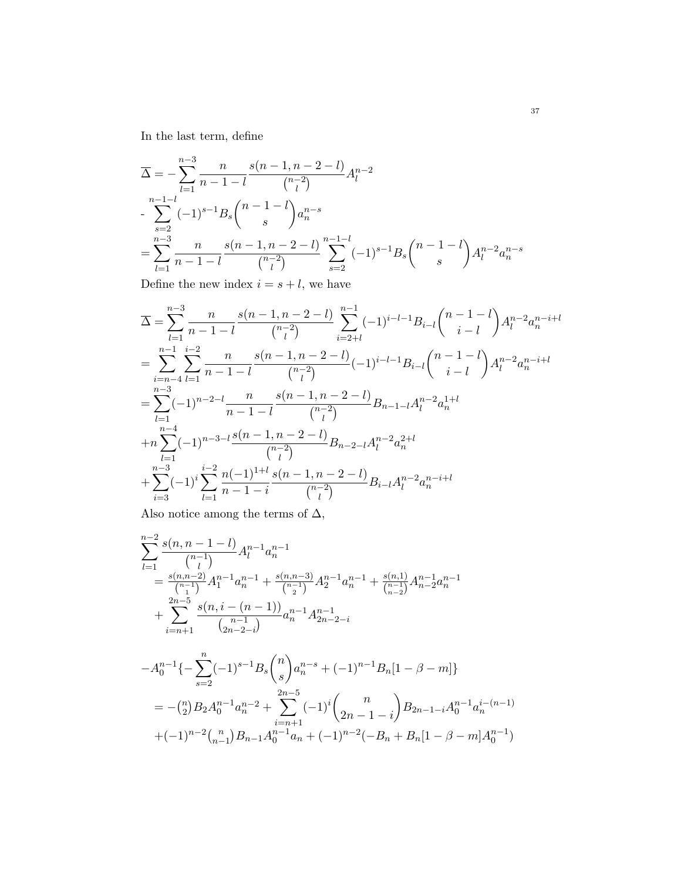In the last term, define

$$
\overline{\Delta} = -\sum_{l=1}^{n-3} \frac{n}{n-1-l} \frac{s(n-1, n-2-l)}{\binom{n-2}{l}} A_l^{n-2}
$$
  
- 
$$
\sum_{s=2}^{n-1-l} (-1)^{s-1} B_s \binom{n-1-l}{s} a_n^{n-s}
$$
  
= 
$$
\sum_{l=1}^{n-3} \frac{n}{n-1-l} \frac{s(n-1, n-2-l)}{\binom{n-2}{l}} \sum_{s=2}^{n-1-l} (-1)^{s-1} B_s \binom{n-1-l}{s} A_l^{n-2} a_n^{n-s}
$$

Define the new index  $i = s + l$ , we have

$$
\begin{split} &\overline{\Delta} = \sum_{l=1}^{n-3} \frac{n}{n-1-l} \frac{s(n-1,n-2-l)}{\binom{n-2}{l}} \sum_{i=2+l}^{n-1} (-1)^{i-l-1} B_{i-l} \binom{n-1-l}{i-l} A_l^{n-2} a_n^{n-i+l} \\ &= \sum_{i=n-4}^{n-1} \sum_{l=1}^{i-2} \frac{n}{n-1-l} \frac{s(n-1,n-2-l)}{\binom{n-2}{l}} (-1)^{i-l-1} B_{i-l} \binom{n-1-l}{i-l} A_l^{n-2} a_n^{n-i+l} \\ &= \sum_{l=1}^{n-3} (-1)^{n-2-l} \frac{n}{n-1-l} \frac{s(n-1,n-2-l)}{\binom{n-2}{l}} B_{n-1-l} A_l^{n-2} a_n^{1+l} \\ &+ n \sum_{l=1}^{n-4} (-1)^{n-3-l} \frac{s(n-1,n-2-l)}{\binom{n-2}{l}} B_{n-2-l} A_l^{n-2} a_n^{2+l} \\ &+ \sum_{i=3}^{n-3} (-1)^i \sum_{l=1}^{i-2} \frac{n(-1)^{1+l}}{n-1-i} \frac{s(n-1,n-2-l)}{\binom{n-2}{l}} B_{i-l} A_l^{n-2} a_n^{n-i+l} \end{split}
$$

Also notice among the terms of  $\Delta,$ 

$$
\sum_{l=1}^{n-2} \frac{s(n, n-1-l)}{\binom{n-1}{l}} A_l^{n-1} a_n^{n-1}
$$
\n
$$
= \frac{s(n, n-2)}{\binom{n-1}{1}} A_1^{n-1} a_n^{n-1} + \frac{s(n, n-3)}{\binom{n-1}{2}} A_2^{n-1} a_n^{n-1} + \frac{s(n, 1)}{\binom{n-1}{n-2}} A_{n-2}^{n-1} a_n^{n-1}
$$
\n
$$
+ \sum_{i=n+1}^{2n-5} \frac{s(n, i - (n-1))}{\binom{n-1}{2n-2-i}} a_n^{n-1} A_{2n-2-i}^{n-1}
$$

$$
-A_0^{n-1}\{-\sum_{s=2}^n (-1)^{s-1}B_s \binom{n}{s}a_n^{n-s} + (-1)^{n-1}B_n[1-\beta-m]\}
$$
  
=  $-(\binom{n}{2}B_2A_0^{n-1}a_n^{n-2} + \sum_{i=n+1}^{2n-5} (-1)^i \binom{n}{2n-1-i}B_{2n-1-i}A_0^{n-1}a_n^{i-(n-1)} + (-1)^{n-2}\binom{n}{n-1}B_{n-1}A_0^{n-1}a_n + (-1)^{n-2}(-B_n + B_n[1-\beta-m]A_0^{n-1})$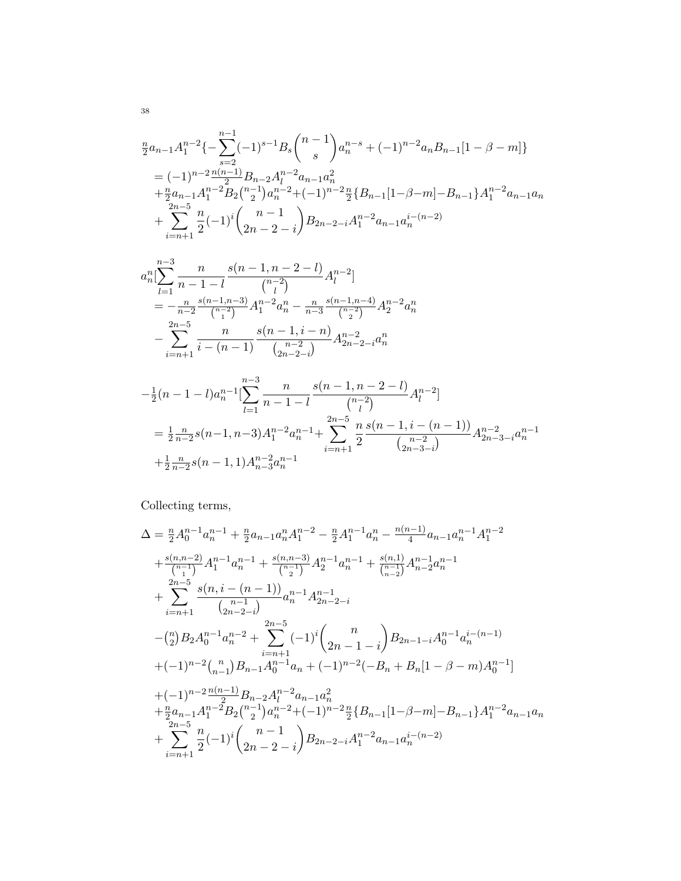$$
\begin{split}\n&\frac{n}{2}a_{n-1}A_1^{n-2}\{-\sum_{s=2}^{n-1}(-1)^{s-1}B_s\binom{n-1}{s}a_n^{n-s}+(-1)^{n-2}a_nB_{n-1}[1-\beta-m]\} \\
&=(-1)^{n-2}\frac{n(n-1)}{2}B_{n-2}A_l^{n-2}a_{n-1}a_n^2 \\
&+\frac{n}{2}a_{n-1}A_1^{n-2}B_2\binom{n-1}{2}a_n^{n-2}+(-1)^{n-2}\frac{n}{2}\{B_{n-1}[1-\beta-m]-B_{n-1}\}A_1^{n-2}a_{n-1}a_n \\
&+\sum_{i=n+1}^{2n-5}\frac{n}{2}(-1)^i\binom{n-1}{2n-2-i}B_{2n-2-i}A_1^{n-2}a_{n-1}a_n^{i-(n-2)}\n\end{split}
$$

$$
a_n^n \left[ \sum_{l=1}^{n-3} \frac{n}{n-1-l} \frac{s(n-1, n-2-l)}{\binom{n-2}{l}} A_l^{n-2} \right]
$$
  
=  $-\frac{n}{n-2} \frac{s(n-1, n-3)}{\binom{n-2}{1}} A_1^{n-2} a_n^n - \frac{n}{n-3} \frac{s(n-1, n-4)}{\binom{n-2}{2}} A_2^{n-2} a_n^n$   
-  $\sum_{i=n+1}^{2n-5} \frac{n}{i-(n-1)} \frac{s(n-1, i-n)}{\binom{n-2}{2n-2-i}} A_{2n-2-i}^{n-2} a_n^n$ 

$$
-\frac{1}{2}(n-1-l)a_n^{n-1}\left[\sum_{l=1}^{n-3} \frac{n}{n-1-l} \frac{s(n-1,n-2-l)}{\binom{n-2}{l}} A_l^{n-2}\right]
$$
  
=  $\frac{1}{2} \frac{n}{n-2} s(n-1,n-3) A_1^{n-2} a_n^{n-1} + \sum_{i=n+1}^{2n-5} \frac{n}{2} \frac{s(n-1,i-(n-1))}{\binom{n-2}{2n-3-i}} A_{2n-3-i}^{n-2} a_n^{n-1} + \frac{1}{2} \frac{n}{n-2} s(n-1,1) A_{n-3}^{n-2} a_n^{n-1}$ 

Collecting terms,

$$
\begin{split} &\Delta = \tfrac{n}{2} A_0^{n-1} a_n^{n-1} + \tfrac{n}{2} a_{n-1} a_n^n A_1^{n-2} - \tfrac{n}{2} A_1^{n-1} a_n^n - \tfrac{n(n-1)}{4} a_{n-1} a_n^{n-1} A_1^{n-2} \\& + \tfrac{s(n,n-2)}{{n-1}} A_1^{n-1} a_n^{n-1} + \tfrac{s(n,n-3)}{{n-1}} A_2^{n-1} a_n^{n-1} + \tfrac{s(n,1)}{{n-1}} A_{n-2}^{n-1} a_n^{n-1} \\& + \sum_{i=n+1}^{2n-5} \frac{s(n,i-(n-1))}{(n-1)} a_n^{n-1} A_{2n-2-i}^{n-1} \\& - \tfrac{n}{2} B_2 A_0^{n-1} a_n^{n-2} + \sum_{i=n+1}^{2n-5} (-1)^i \binom{n}{2n-1-i} B_{2n-1-i} A_0^{n-1} a_n^{i-(n-1)} \\& + (-1)^{n-2} \binom{n}{n-1} B_{n-1} A_0^{n-1} a_n + (-1)^{n-2} (-B_n + B_n [1 - \beta - m) A_0^{n-1}] \\& + (-1)^{n-2} \tfrac{n(n-1)}{2} B_{n-2} A_1^{n-2} a_{n-1} a_n^2 \\& + \tfrac{n}{2} a_{n-1} A_1^{n-2} B_2 \binom{n-1}{2} a_n^{n-2} + (-1)^{n-2} \tfrac{n}{2} \{B_{n-1} [1 - \beta - m] - B_{n-1} \} A_1^{n-2} a_{n-1} a_n \\& + \sum_{i=n+1}^{2n-5} \frac{n}{2} (-1)^i \binom{n-1}{2n-2-i} B_{2n-2-i} A_1^{n-2} a_{n-1} a_n^{i-(n-2)} \end{split}
$$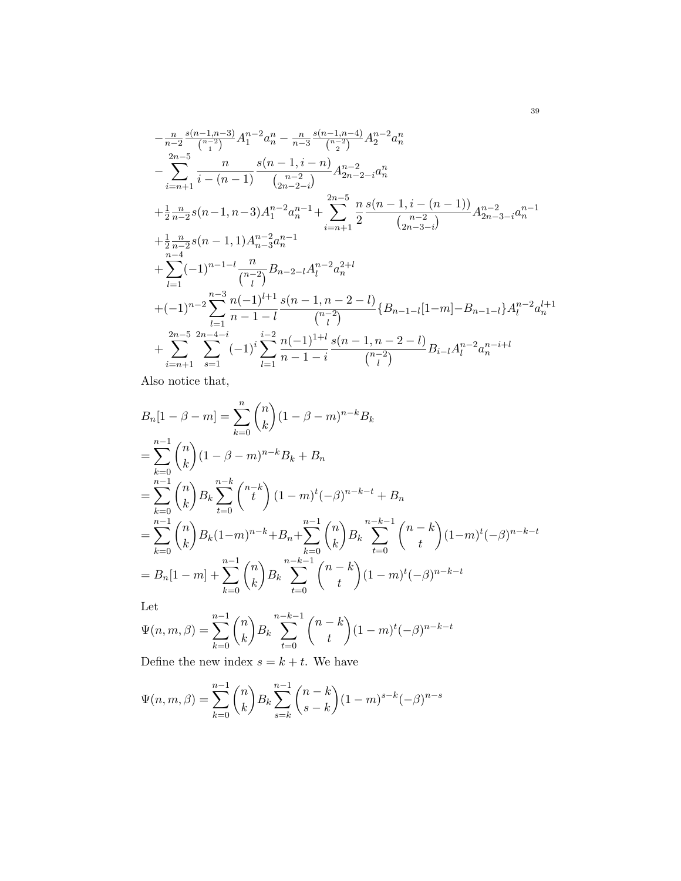$$
-\frac{n}{n-2} \frac{s(n-1,n-3)}{{n-2}} A_1^{n-2} a_n^n - \frac{n}{n-3} \frac{s(n-1,n-4)}{{n-2}} A_2^{n-2} a_n^n
$$
  
\n
$$
-\sum_{i=n+1}^{2n-5} \frac{n}{i-(n-1)} \frac{s(n-1,i-n)}{{n-2 \choose 2n-2-i}} A_{2n-2-i}^{n-2} a_n^n
$$
  
\n
$$
+\frac{1}{2} \frac{n}{n-2} s(n-1,n-3) A_1^{n-2} a_n^{n-1} + \sum_{i=n+1}^{2n-5} \frac{n}{2} \frac{s(n-1,i-(n-1))}{n-2} A_{2n-3-i}^{n-2} a_n^{n-1}
$$
  
\n
$$
+\frac{1}{2} \frac{n}{n-2} s(n-1,1) A_{n-3}^{n-2} a_n^{n-1}
$$
  
\n
$$
+\sum_{i=1}^{n-4} (-1)^{n-1-i} \frac{n}{\binom{n-2}{i}} B_{n-2-i} A_1^{n-2} a_n^{2+i}
$$
  
\n
$$
+(-1)^{n-2} \sum_{l=1}^{n-3} \frac{n(-1)^{l+1}}{n-1-l} \frac{s(n-1,n-2-l)}{\binom{n-2}{l}} \{B_{n-1-l}[1-m] - B_{n-1-l}\} A_l^{n-2} a_n^{l+1}
$$
  
\n
$$
+\sum_{i=n+1}^{2n-5} \sum_{s=1}^{2n-4-i} (-1)^i \sum_{l=1}^{i-2} \frac{n(-1)^{1+l}}{n-1-i} \frac{s(n-1,n-2-l)}{\binom{n-2}{l}} B_{i-l} A_l^{n-2} a_n^{n-i+l}
$$

Also notice that,

$$
B_n[1 - \beta - m] = \sum_{k=0}^n {n \choose k} (1 - \beta - m)^{n-k} B_k
$$
  
\n
$$
= \sum_{k=0}^{n-1} {n \choose k} (1 - \beta - m)^{n-k} B_k + B_n
$$
  
\n
$$
= \sum_{k=0}^{n-1} {n \choose k} B_k \sum_{t=0}^{n-k} {n-k \choose t} (1 - m)^t (-\beta)^{n-k-t} + B_n
$$
  
\n
$$
= \sum_{k=0}^{n-1} {n \choose k} B_k (1 - m)^{n-k} + B_n + \sum_{k=0}^{n-1} {n \choose k} B_k \sum_{t=0}^{n-k-1} {n-k \choose t} (1 - m)^t (-\beta)^{n-k-t}
$$
  
\n
$$
= B_n[1 - m] + \sum_{k=0}^{n-1} {n \choose k} B_k \sum_{t=0}^{n-k-1} {n-k \choose t} (1 - m)^t (-\beta)^{n-k-t}
$$
  
\nLet

$$
\Psi(n, m, \beta) = \sum_{k=0}^{n-1} {n \choose k} B_k \sum_{t=0}^{n-k-1} {n-k \choose t} (1-m)^t (-\beta)^{n-k-t}
$$

Define the new index  $s = k + t$ . We have

$$
\Psi(n, m, \beta) = \sum_{k=0}^{n-1} {n \choose k} B_k \sum_{s=k}^{n-1} {n-k \choose s-k} (1-m)^{s-k} (-\beta)^{n-s}
$$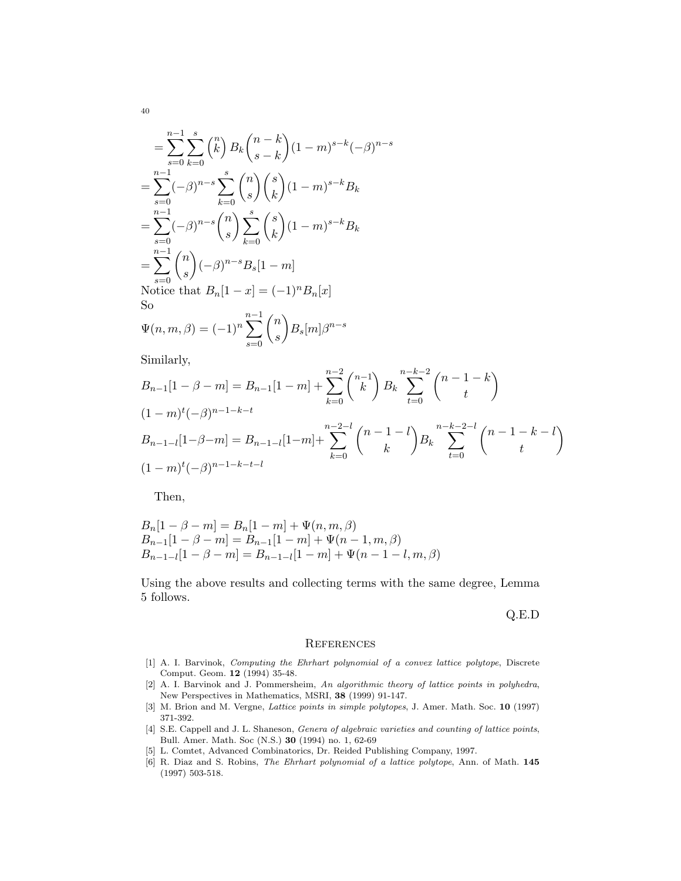$$
= \sum_{s=0}^{n-1} \sum_{k=0}^{s} {n \choose k} B_k {n-k \choose s-k} (1-m)^{s-k} (-\beta)^{n-s}
$$
  
\n
$$
= \sum_{s=0}^{n-1} (-\beta)^{n-s} \sum_{k=0}^{s} {n \choose s} {s \choose k} (1-m)^{s-k} B_k
$$
  
\n
$$
= \sum_{s=0}^{n-1} (-\beta)^{n-s} {n \choose s} \sum_{k=0}^{s} {s \choose k} (1-m)^{s-k} B_k
$$
  
\n
$$
= \sum_{s=0}^{n-1} {n \choose s} (-\beta)^{n-s} B_s [1-m]
$$
  
\nNotice that  $B_n [1-x] = (-1)^n B_n [x]$   
\nSo  
\n $\Psi(n, m, \beta) = (-1)^n \sum_{s=0}^{n-1} {n \choose s} B_s [m] \beta^{n-s}$ 

Similarly,

$$
B_{n-1}[1 - \beta - m] = B_{n-1}[1 - m] + \sum_{k=0}^{n-2} {n-1 \choose k} B_k \sum_{t=0}^{n-k-2} {n-1-k \choose t}
$$
  

$$
(1 - m)^t(-\beta)^{n-1-k-t}
$$
  

$$
B_{n-1-l}[1 - \beta - m] = B_{n-1-l}[1 - m] + \sum_{k=0}^{n-2-l} {n-1-l \choose k} B_k \sum_{t=0}^{n-k-2-l} {n-1-k-l \choose t}
$$
  

$$
(1 - m)^t(-\beta)^{n-1-k-t-l}
$$

Then,

$$
B_n[1 - \beta - m] = B_n[1 - m] + \Psi(n, m, \beta)
$$
  
\n
$$
B_{n-1}[1 - \beta - m] = B_{n-1}[1 - m] + \Psi(n - 1, m, \beta)
$$
  
\n
$$
B_{n-1-l}[1 - \beta - m] = B_{n-1-l}[1 - m] + \Psi(n - 1 - l, m, \beta)
$$

Using the above results and collecting terms with the same degree, Lemma 5 follows.

Q.E.D

#### **REFERENCES**

- [1] A. I. Barvinok, Computing the Ehrhart polynomial of a convex lattice polytope, Discrete Comput. Geom. 12 (1994) 35-48.
- [2] A. I. Barvinok and J. Pommersheim, An algorithmic theory of lattice points in polyhedra, New Perspectives in Mathematics, MSRI, 38 (1999) 91-147.
- [3] M. Brion and M. Vergne, *Lattice points in simple polytopes*, J. Amer. Math. Soc. 10 (1997) 371-392.
- [4] S.E. Cappell and J. L. Shaneson, *Genera of algebraic varieties and counting of lattice points*, Bull. Amer. Math. Soc (N.S.) 30 (1994) no. 1, 62-69
- [5] L. Comtet, Advanced Combinatorics, Dr. Reided Publishing Company, 1997.
- [6] R. Diaz and S. Robins, The Ehrhart polynomial of a lattice polytope, Ann. of Math. 145 (1997) 503-518.